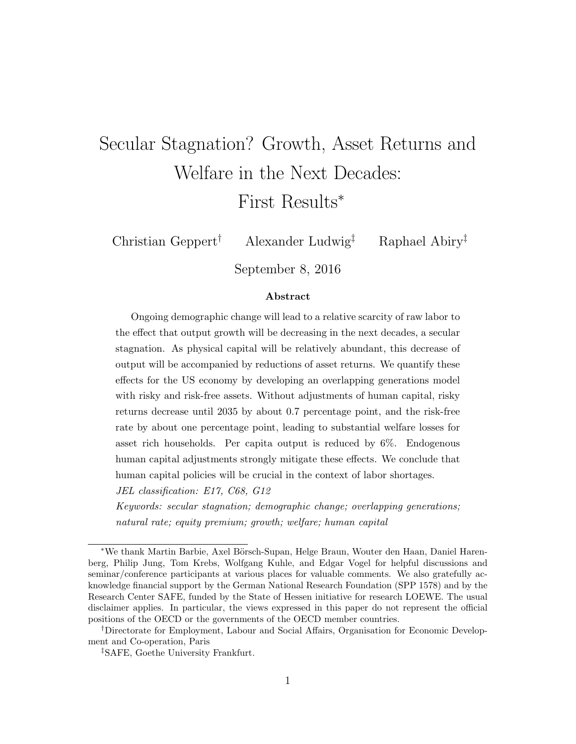# Secular Stagnation? Growth, Asset Returns and Welfare in the Next Decades: First Results*<sup>∗</sup>*

Christian Geppert*†* Alexander Ludwig*‡* Raphael Abiry*‡*

September 8, 2016

#### **Abstract**

Ongoing demographic change will lead to a relative scarcity of raw labor to the effect that output growth will be decreasing in the next decades, a secular stagnation. As physical capital will be relatively abundant, this decrease of output will be accompanied by reductions of asset returns. We quantify these effects for the US economy by developing an overlapping generations model with risky and risk-free assets. Without adjustments of human capital, risky returns decrease until 2035 by about 0.7 percentage point, and the risk-free rate by about one percentage point, leading to substantial welfare losses for asset rich households. Per capita output is reduced by 6%. Endogenous human capital adjustments strongly mitigate these effects. We conclude that human capital policies will be crucial in the context of labor shortages. *JEL classification: E17, C68, G12*

*Keywords: secular stagnation; demographic change; overlapping generations; natural rate; equity premium; growth; welfare; human capital*

*<sup>\*</sup>*We thank Martin Barbie, Axel Börsch-Supan, Helge Braun, Wouter den Haan, Daniel Harenberg, Philip Jung, Tom Krebs, Wolfgang Kuhle, and Edgar Vogel for helpful discussions and seminar/conference participants at various places for valuable comments. We also gratefully acknowledge financial support by the German National Research Foundation (SPP 1578) and by the Research Center SAFE, funded by the State of Hessen initiative for research LOEWE. The usual disclaimer applies. In particular, the views expressed in this paper do not represent the official positions of the OECD or the governments of the OECD member countries.

*<sup>†</sup>*Directorate for Employment, Labour and Social Affairs, Organisation for Economic Development and Co-operation, Paris

*<sup>‡</sup>*SAFE, Goethe University Frankfurt.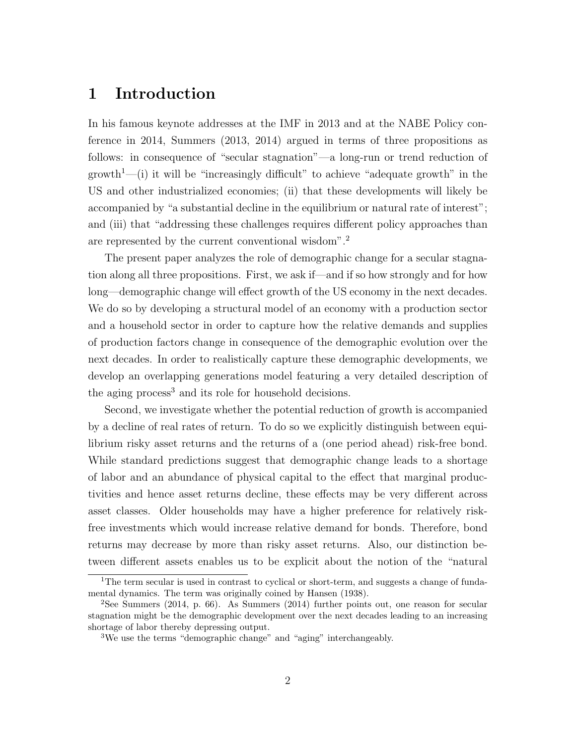# **1 Introduction**

In his famous keynote addresses at the IMF in 2013 and at the NABE Policy conference in 2014, Summers (2013, 2014) argued in terms of three propositions as follows: in consequence of "secular stagnation"—a long-run or trend reduction of growth<sup>1</sup>—(i) it will be "increasingly difficult" to achieve "adequate growth" in the US and other industrialized economies; (ii) that these developments will likely be accompanied by "a substantial decline in the equilibrium or natural rate of interest"; and (iii) that "addressing these challenges requires different policy approaches than are represented by the current conventional wisdom".<sup>2</sup>

The present paper analyzes the role of demographic change for a secular stagnation along all three propositions. First, we ask if—and if so how strongly and for how long—demographic change will effect growth of the US economy in the next decades. We do so by developing a structural model of an economy with a production sector and a household sector in order to capture how the relative demands and supplies of production factors change in consequence of the demographic evolution over the next decades. In order to realistically capture these demographic developments, we develop an overlapping generations model featuring a very detailed description of the aging process<sup>3</sup> and its role for household decisions.

Second, we investigate whether the potential reduction of growth is accompanied by a decline of real rates of return. To do so we explicitly distinguish between equilibrium risky asset returns and the returns of a (one period ahead) risk-free bond. While standard predictions suggest that demographic change leads to a shortage of labor and an abundance of physical capital to the effect that marginal productivities and hence asset returns decline, these effects may be very different across asset classes. Older households may have a higher preference for relatively riskfree investments which would increase relative demand for bonds. Therefore, bond returns may decrease by more than risky asset returns. Also, our distinction between different assets enables us to be explicit about the notion of the "natural

<sup>&</sup>lt;sup>1</sup>The term secular is used in contrast to cyclical or short-term, and suggests a change of fundamental dynamics. The term was originally coined by Hansen (1938).

<sup>2</sup>See Summers (2014, p. 66). As Summers (2014) further points out, one reason for secular stagnation might be the demographic development over the next decades leading to an increasing shortage of labor thereby depressing output.

<sup>&</sup>lt;sup>3</sup>We use the terms "demographic change" and "aging" interchangeably.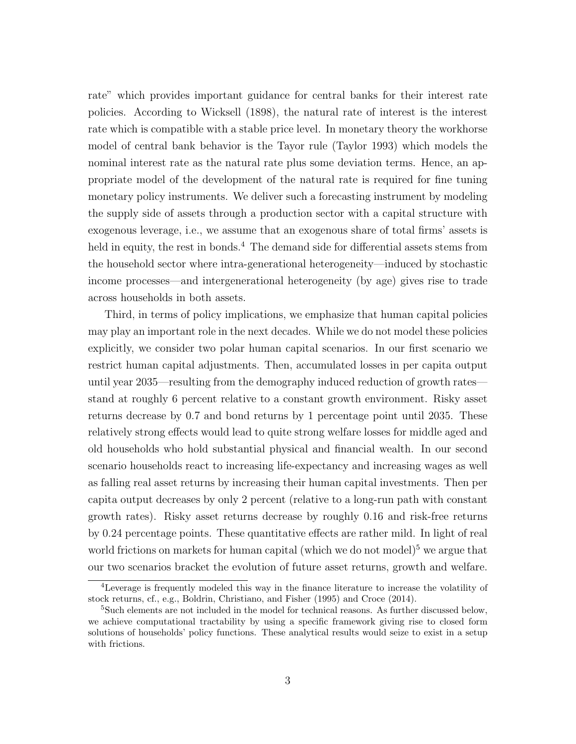rate" which provides important guidance for central banks for their interest rate policies. According to Wicksell (1898), the natural rate of interest is the interest rate which is compatible with a stable price level. In monetary theory the workhorse model of central bank behavior is the Tayor rule (Taylor 1993) which models the nominal interest rate as the natural rate plus some deviation terms. Hence, an appropriate model of the development of the natural rate is required for fine tuning monetary policy instruments. We deliver such a forecasting instrument by modeling the supply side of assets through a production sector with a capital structure with exogenous leverage, i.e., we assume that an exogenous share of total firms' assets is held in equity, the rest in bonds.<sup>4</sup> The demand side for differential assets stems from the household sector where intra-generational heterogeneity—induced by stochastic income processes—and intergenerational heterogeneity (by age) gives rise to trade across households in both assets.

Third, in terms of policy implications, we emphasize that human capital policies may play an important role in the next decades. While we do not model these policies explicitly, we consider two polar human capital scenarios. In our first scenario we restrict human capital adjustments. Then, accumulated losses in per capita output until year 2035—resulting from the demography induced reduction of growth rates stand at roughly 6 percent relative to a constant growth environment. Risky asset returns decrease by 0.7 and bond returns by 1 percentage point until 2035. These relatively strong effects would lead to quite strong welfare losses for middle aged and old households who hold substantial physical and financial wealth. In our second scenario households react to increasing life-expectancy and increasing wages as well as falling real asset returns by increasing their human capital investments. Then per capita output decreases by only 2 percent (relative to a long-run path with constant growth rates). Risky asset returns decrease by roughly 0.16 and risk-free returns by 0.24 percentage points. These quantitative effects are rather mild. In light of real world frictions on markets for human capital (which we do not model)<sup>5</sup> we argue that our two scenarios bracket the evolution of future asset returns, growth and welfare.

<sup>4</sup>Leverage is frequently modeled this way in the finance literature to increase the volatility of stock returns, cf., e.g., Boldrin, Christiano, and Fisher (1995) and Croce (2014).

 $5$ Such elements are not included in the model for technical reasons. As further discussed below, we achieve computational tractability by using a specific framework giving rise to closed form solutions of households' policy functions. These analytical results would seize to exist in a setup with frictions.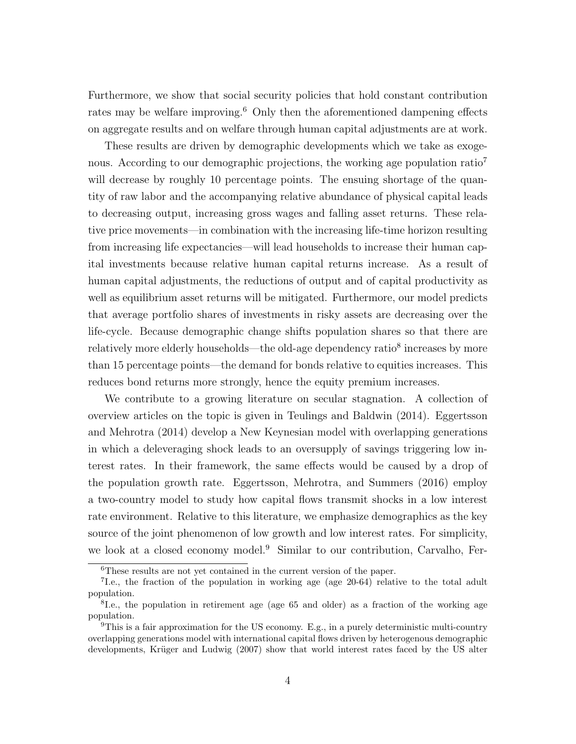Furthermore, we show that social security policies that hold constant contribution rates may be welfare improving.<sup>6</sup> Only then the aforementioned dampening effects on aggregate results and on welfare through human capital adjustments are at work.

These results are driven by demographic developments which we take as exogenous. According to our demographic projections, the working age population ratio<sup>7</sup> will decrease by roughly 10 percentage points. The ensuing shortage of the quantity of raw labor and the accompanying relative abundance of physical capital leads to decreasing output, increasing gross wages and falling asset returns. These relative price movements—in combination with the increasing life-time horizon resulting from increasing life expectancies—will lead households to increase their human capital investments because relative human capital returns increase. As a result of human capital adjustments, the reductions of output and of capital productivity as well as equilibrium asset returns will be mitigated. Furthermore, our model predicts that average portfolio shares of investments in risky assets are decreasing over the life-cycle. Because demographic change shifts population shares so that there are relatively more elderly households—the old-age dependency ratio<sup>8</sup> increases by more than 15 percentage points—the demand for bonds relative to equities increases. This reduces bond returns more strongly, hence the equity premium increases.

We contribute to a growing literature on secular stagnation. A collection of overview articles on the topic is given in Teulings and Baldwin (2014). Eggertsson and Mehrotra (2014) develop a New Keynesian model with overlapping generations in which a deleveraging shock leads to an oversupply of savings triggering low interest rates. In their framework, the same effects would be caused by a drop of the population growth rate. Eggertsson, Mehrotra, and Summers (2016) employ a two-country model to study how capital flows transmit shocks in a low interest rate environment. Relative to this literature, we emphasize demographics as the key source of the joint phenomenon of low growth and low interest rates. For simplicity, we look at a closed economy model.<sup>9</sup> Similar to our contribution, Carvalho, Fer-

<sup>6</sup>These results are not yet contained in the current version of the paper.

<sup>7</sup> I.e., the fraction of the population in working age (age 20-64) relative to the total adult population.

<sup>&</sup>lt;sup>8</sup>I.e., the population in retirement age (age 65 and older) as a fraction of the working age population.

<sup>&</sup>lt;sup>9</sup>This is a fair approximation for the US economy. E.g., in a purely deterministic multi-country overlapping generations model with international capital flows driven by heterogenous demographic developments, Krüger and Ludwig (2007) show that world interest rates faced by the US alter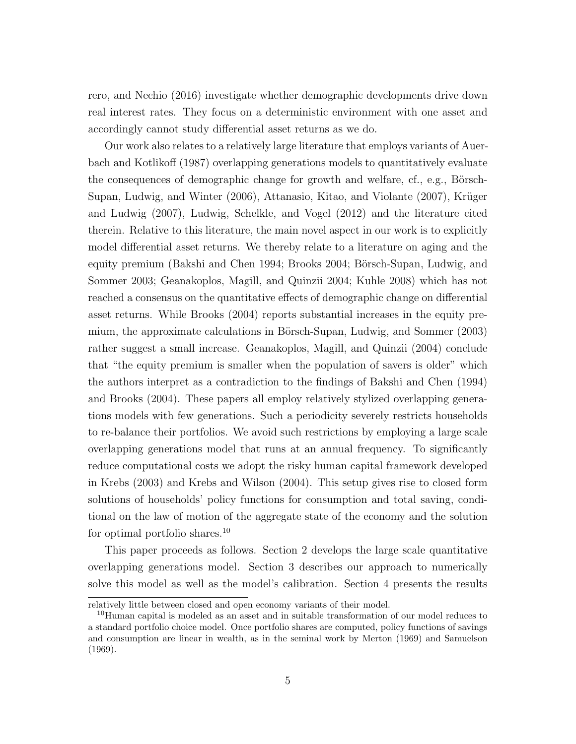rero, and Nechio (2016) investigate whether demographic developments drive down real interest rates. They focus on a deterministic environment with one asset and accordingly cannot study differential asset returns as we do.

Our work also relates to a relatively large literature that employs variants of Auerbach and Kotlikoff (1987) overlapping generations models to quantitatively evaluate the consequences of demographic change for growth and welfare, cf., e.g., Börsch-Supan, Ludwig, and Winter (2006), Attanasio, Kitao, and Violante (2007), Krüger and Ludwig (2007), Ludwig, Schelkle, and Vogel (2012) and the literature cited therein. Relative to this literature, the main novel aspect in our work is to explicitly model differential asset returns. We thereby relate to a literature on aging and the equity premium (Bakshi and Chen 1994; Brooks 2004; Börsch-Supan, Ludwig, and Sommer 2003; Geanakoplos, Magill, and Quinzii 2004; Kuhle 2008) which has not reached a consensus on the quantitative effects of demographic change on differential asset returns. While Brooks (2004) reports substantial increases in the equity premium, the approximate calculations in Börsch-Supan, Ludwig, and Sommer (2003) rather suggest a small increase. Geanakoplos, Magill, and Quinzii (2004) conclude that "the equity premium is smaller when the population of savers is older" which the authors interpret as a contradiction to the findings of Bakshi and Chen (1994) and Brooks (2004). These papers all employ relatively stylized overlapping generations models with few generations. Such a periodicity severely restricts households to re-balance their portfolios. We avoid such restrictions by employing a large scale overlapping generations model that runs at an annual frequency. To significantly reduce computational costs we adopt the risky human capital framework developed in Krebs (2003) and Krebs and Wilson (2004). This setup gives rise to closed form solutions of households' policy functions for consumption and total saving, conditional on the law of motion of the aggregate state of the economy and the solution for optimal portfolio shares.<sup>10</sup>

This paper proceeds as follows. Section 2 develops the large scale quantitative overlapping generations model. Section 3 describes our approach to numerically solve this model as well as the model's calibration. Section 4 presents the results

relatively little between closed and open economy variants of their model.

<sup>&</sup>lt;sup>10</sup>Human capital is modeled as an asset and in suitable transformation of our model reduces to a standard portfolio choice model. Once portfolio shares are computed, policy functions of savings and consumption are linear in wealth, as in the seminal work by Merton (1969) and Samuelson (1969).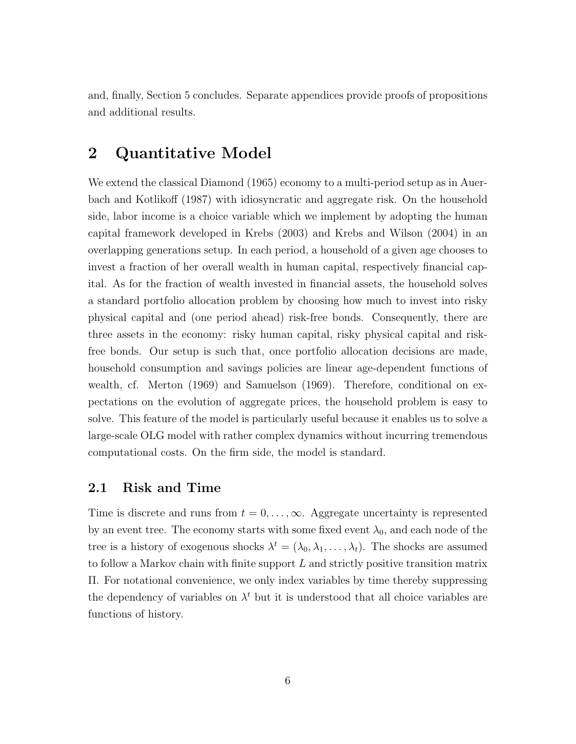and, finally, Section 5 concludes. Separate appendices provide proofs of propositions and additional results.

# **2 Quantitative Model**

We extend the classical Diamond (1965) economy to a multi-period setup as in Auerbach and Kotlikoff (1987) with idiosyncratic and aggregate risk. On the household side, labor income is a choice variable which we implement by adopting the human capital framework developed in Krebs (2003) and Krebs and Wilson (2004) in an overlapping generations setup. In each period, a household of a given age chooses to invest a fraction of her overall wealth in human capital, respectively financial capital. As for the fraction of wealth invested in financial assets, the household solves a standard portfolio allocation problem by choosing how much to invest into risky physical capital and (one period ahead) risk-free bonds. Consequently, there are three assets in the economy: risky human capital, risky physical capital and riskfree bonds. Our setup is such that, once portfolio allocation decisions are made, household consumption and savings policies are linear age-dependent functions of wealth, cf. Merton (1969) and Samuelson (1969). Therefore, conditional on expectations on the evolution of aggregate prices, the household problem is easy to solve. This feature of the model is particularly useful because it enables us to solve a large-scale OLG model with rather complex dynamics without incurring tremendous computational costs. On the firm side, the model is standard.

#### **2.1 Risk and Time**

Time is discrete and runs from  $t = 0, \ldots, \infty$ . Aggregate uncertainty is represented by an event tree. The economy starts with some fixed event  $\lambda_0$ , and each node of the tree is a history of exogenous shocks  $\lambda^t = (\lambda_0, \lambda_1, \dots, \lambda_t)$ . The shocks are assumed to follow a Markov chain with finite support *L* and strictly positive transition matrix Π. For notational convenience, we only index variables by time thereby suppressing the dependency of variables on  $\lambda^t$  but it is understood that all choice variables are functions of history.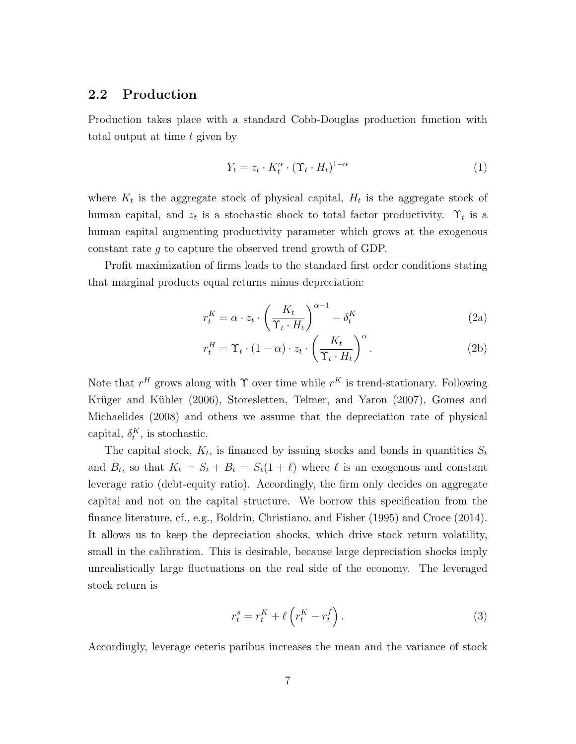## **2.2 Production**

Production takes place with a standard Cobb-Douglas production function with total output at time *t* given by

$$
Y_t = z_t \cdot K_t^{\alpha} \cdot (\Upsilon_t \cdot H_t)^{1-\alpha} \tag{1}
$$

where  $K_t$  is the aggregate stock of physical capital,  $H_t$  is the aggregate stock of human capital, and  $z_t$  is a stochastic shock to total factor productivity.  $\Upsilon_t$  is a human capital augmenting productivity parameter which grows at the exogenous constant rate *g* to capture the observed trend growth of GDP.

Profit maximization of firms leads to the standard first order conditions stating that marginal products equal returns minus depreciation:

$$
r_t^K = \alpha \cdot z_t \cdot \left(\frac{K_t}{\Upsilon_t \cdot H_t}\right)^{\alpha - 1} - \delta_t^K
$$
 (2a)

$$
r_t^H = \Upsilon_t \cdot (1 - \alpha) \cdot z_t \cdot \left(\frac{K_t}{\Upsilon_t \cdot H_t}\right)^{\alpha}.
$$
 (2b)

Note that  $r^H$  grows along with  $\Upsilon$  over time while  $r^K$  is trend-stationary. Following Krüger and Kübler (2006), Storesletten, Telmer, and Yaron (2007), Gomes and Michaelides (2008) and others we assume that the depreciation rate of physical capital,  $\delta_t^K$ , is stochastic.

The capital stock,  $K_t$ , is financed by issuing stocks and bonds in quantities  $S_t$ and  $B_t$ , so that  $K_t = S_t + B_t = S_t(1 + \ell)$  where  $\ell$  is an exogenous and constant leverage ratio (debt-equity ratio). Accordingly, the firm only decides on aggregate capital and not on the capital structure. We borrow this specification from the finance literature, cf., e.g., Boldrin, Christiano, and Fisher (1995) and Croce (2014). It allows us to keep the depreciation shocks, which drive stock return volatility, small in the calibration. This is desirable, because large depreciation shocks imply unrealistically large fluctuations on the real side of the economy. The leveraged stock return is

$$
r_t^s = r_t^K + \ell \left( r_t^K - r_t^f \right). \tag{3}
$$

Accordingly, leverage ceteris paribus increases the mean and the variance of stock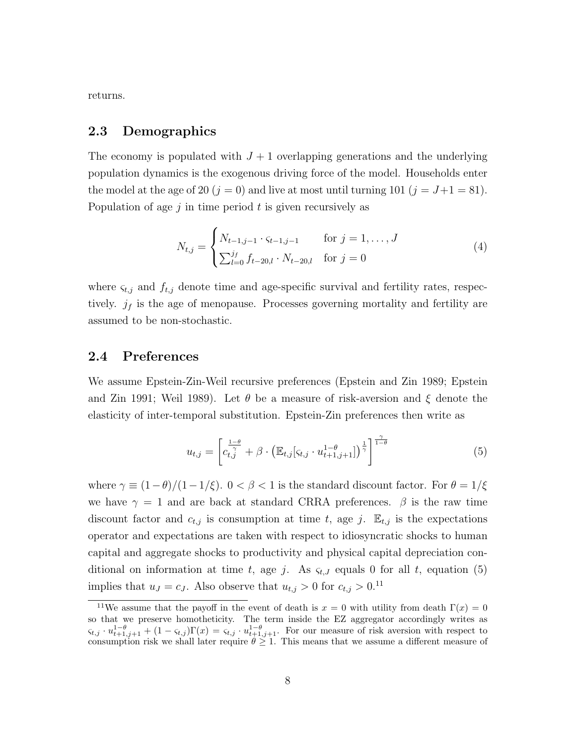returns.

#### **2.3 Demographics**

The economy is populated with  $J+1$  overlapping generations and the underlying population dynamics is the exogenous driving force of the model. Households enter the model at the age of 20  $(j = 0)$  and live at most until turning 101  $(j = J + 1 = 81)$ . Population of age *j* in time period *t* is given recursively as

$$
N_{t,j} = \begin{cases} N_{t-1,j-1} \cdot \varsigma_{t-1,j-1} & \text{for } j = 1, \dots, J \\ \sum_{l=0}^{j_f} f_{t-20,l} \cdot N_{t-20,l} & \text{for } j = 0 \end{cases}
$$
 (4)

where  $\varsigma_{t,j}$  and  $f_{t,j}$  denote time and age-specific survival and fertility rates, respectively.  $j_f$  is the age of menopause. Processes governing mortality and fertility are assumed to be non-stochastic.

#### **2.4 Preferences**

We assume Epstein-Zin-Weil recursive preferences (Epstein and Zin 1989; Epstein and Zin 1991; Weil 1989). Let *θ* be a measure of risk-aversion and *ξ* denote the elasticity of inter-temporal substitution. Epstein-Zin preferences then write as

$$
u_{t,j} = \left[c_{t,j}^{\frac{1-\theta}{\gamma}} + \beta \cdot \left(\mathbb{E}_{t,j}[\varsigma_{t,j} \cdot u_{t+1,j+1}^{1-\theta}] \right)^{\frac{1}{\gamma}}\right]^{\frac{\gamma}{1-\theta}}
$$
(5)

where  $\gamma \equiv (1-\theta)/(1-1/\xi)$ .  $0 < \beta < 1$  is the standard discount factor. For  $\theta = 1/\xi$ we have  $\gamma = 1$  and are back at standard CRRA preferences.  $\beta$  is the raw time discount factor and  $c_{t,j}$  is consumption at time  $t$ , age  $j$ .  $\mathbb{E}_{t,j}$  is the expectations operator and expectations are taken with respect to idiosyncratic shocks to human capital and aggregate shocks to productivity and physical capital depreciation conditional on information at time *t*, age *j*. As  $\varsigma_{t,J}$  equals 0 for all *t*, equation (5) implies that  $u_J = c_J$ . Also observe that  $u_{t,j} > 0$  for  $c_{t,j} > 0$ .<sup>11</sup>

<sup>&</sup>lt;sup>11</sup>We assume that the payoff in the event of death is  $x = 0$  with utility from death  $\Gamma(x) = 0$ so that we preserve homotheticity. The term inside the EZ aggregator accordingly writes as  $\varsigma_{t,j} \cdot u_{t+1,j+1}^{1-\theta} + (1-\varsigma_{t,j})\Gamma(x) = \varsigma_{t,j} \cdot u_{t+1,j+1}^{1-\theta}$ . For our measure of risk aversion with respect to consumption risk we shall later require  $\theta \geq 1$ . This means that we assume a different measure of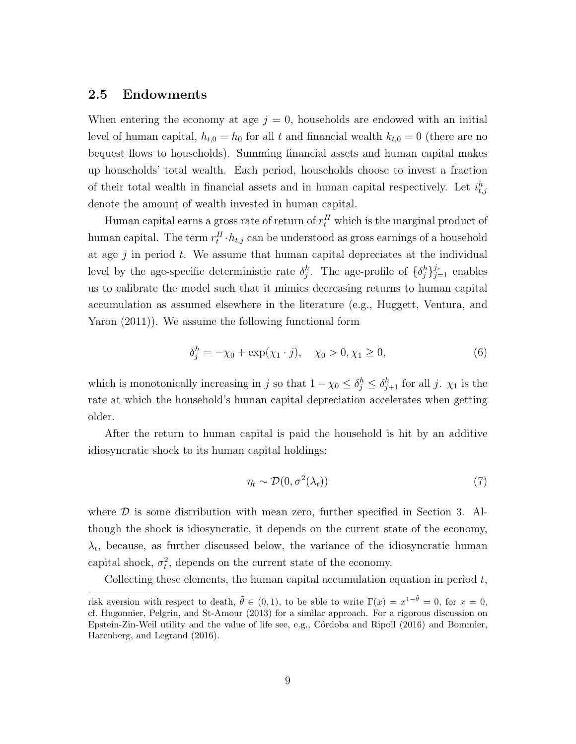#### **2.5 Endowments**

When entering the economy at age  $j = 0$ , households are endowed with an initial level of human capital,  $h_{t,0} = h_0$  for all *t* and financial wealth  $k_{t,0} = 0$  (there are no bequest flows to households). Summing financial assets and human capital makes up households' total wealth. Each period, households choose to invest a fraction of their total wealth in financial assets and in human capital respectively. Let  $i_{t,j}^h$ denote the amount of wealth invested in human capital.

Human capital earns a gross rate of return of  $r_t^H$  which is the marginal product of human capital. The term  $r_t^H \cdot h_{t,j}$  can be understood as gross earnings of a household at age *j* in period *t*. We assume that human capital depreciates at the individual level by the age-specific deterministic rate  $\delta_j^h$ . The age-profile of  $\{\delta_j^h\}_{j=1}^j$  enables us to calibrate the model such that it mimics decreasing returns to human capital accumulation as assumed elsewhere in the literature (e.g., Huggett, Ventura, and Yaron (2011)). We assume the following functional form

$$
\delta_j^h = -\chi_0 + \exp(\chi_1 \cdot j), \quad \chi_0 > 0, \chi_1 \ge 0,
$$
\n(6)

which is monotonically increasing in *j* so that  $1 - \chi_0 \leq \delta_j^h \leq \delta_{j+1}^h$  for all *j*.  $\chi_1$  is the rate at which the household's human capital depreciation accelerates when getting older.

After the return to human capital is paid the household is hit by an additive idiosyncratic shock to its human capital holdings:

$$
\eta_t \sim \mathcal{D}(0, \sigma^2(\lambda_t))
$$
\n<sup>(7)</sup>

where  $\mathcal D$  is some distribution with mean zero, further specified in Section 3. Although the shock is idiosyncratic, it depends on the current state of the economy,  $\lambda_t$ , because, as further discussed below, the variance of the idiosyncratic human capital shock,  $\sigma_t^2$ , depends on the current state of the economy.

Collecting these elements, the human capital accumulation equation in period *t*,

risk aversion with respect to death,  $\tilde{\theta} \in (0,1)$ , to be able to write  $\Gamma(x) = x^{1-\tilde{\theta}} = 0$ , for  $x = 0$ , cf. Hugonnier, Pelgrin, and St-Amour (2013) for a similar approach. For a rigorous discussion on Epstein-Zin-Weil utility and the value of life see, e.g., Córdoba and Ripoll (2016) and Bommier, Harenberg, and Legrand (2016).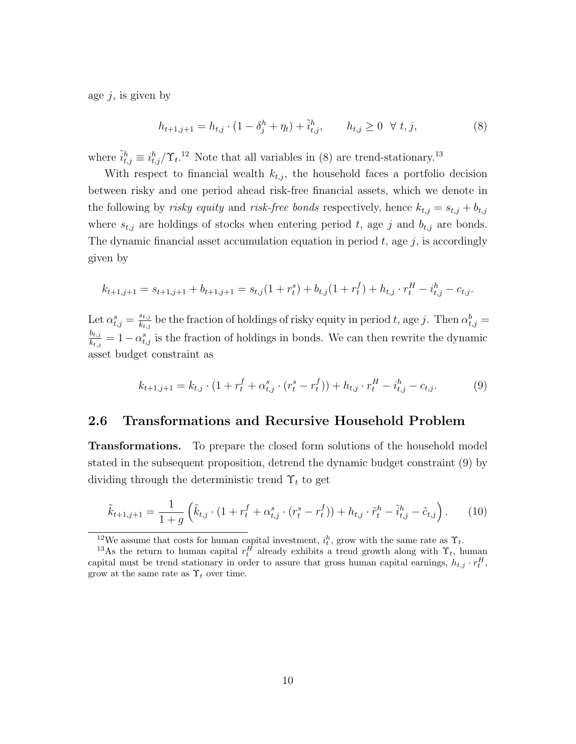age *j*, is given by

$$
h_{t+1,j+1} = h_{t,j} \cdot (1 - \delta_j^h + \eta_t) + \tilde{i}_{t,j}^h, \qquad h_{t,j} \ge 0 \quad \forall \ t, j,
$$
\n(8)

where  $\tilde{i}_{t,j}^h \equiv i_{t,j}^h / \Upsilon_t$ .<sup>12</sup> Note that all variables in (8) are trend-stationary.<sup>13</sup>

With respect to financial wealth  $k_{t,j}$ , the household faces a portfolio decision between risky and one period ahead risk-free financial assets, which we denote in the following by *risky equity* and *risk-free bonds* respectively, hence  $k_{t,j} = s_{t,j} + b_{t,j}$ where  $s_{t,j}$  are holdings of stocks when entering period t, age j and  $b_{t,j}$  are bonds. The dynamic financial asset accumulation equation in period *t*, age *j*, is accordingly given by

$$
k_{t+1,j+1} = s_{t+1,j+1} + b_{t+1,j+1} = s_{t,j}(1+r_t^s) + b_{t,j}(1+r_t^f) + h_{t,j} \cdot r_t^H - i_{t,j}^h - c_{t,j}.
$$

Let  $\alpha_{t,j}^s = \frac{s_{t,j}}{k_{t,j}}$  $\frac{s_{t,j}}{k_{t,j}}$  be the fraction of holdings of risky equity in period *t*, age *j*. Then  $\alpha_{t,j}^b =$ *bt,j*  $\frac{b_{t,j}}{k_{t,j}} = 1 - \alpha_{t,j}^s$  is the fraction of holdings in bonds. We can then rewrite the dynamic asset budget constraint as

$$
k_{t+1,j+1} = k_{t,j} \cdot (1 + r_t^f + \alpha_{t,j}^s \cdot (r_t^s - r_t^f)) + h_{t,j} \cdot r_t^H - i_{t,j}^h - c_{t,j}.
$$
 (9)

#### **2.6 Transformations and Recursive Household Problem**

**Transformations.** To prepare the closed form solutions of the household model stated in the subsequent proposition, detrend the dynamic budget constraint (9) by dividing through the deterministic trend Υ*<sup>t</sup>* to get

$$
\tilde{k}_{t+1,j+1} = \frac{1}{1+g} \left( \tilde{k}_{t,j} \cdot (1+r_t^f + \alpha_{t,j}^s \cdot (r_t^s - r_t^f)) + h_{t,j} \cdot \tilde{r}_t^h - \tilde{i}_{t,j}^h - \tilde{c}_{t,j} \right). \tag{10}
$$

<sup>&</sup>lt;sup>12</sup>We assume that costs for human capital investment,  $i_t^h$ , grow with the same rate as  $\Upsilon_t$ .

<sup>&</sup>lt;sup>13</sup>As the return to human capital  $r_t^H$  already exhibits a trend growth along with  $\Upsilon_t$ , human capital must be trend stationary in order to assure that gross human capital earnings,  $h_{t,j} \cdot r_t^H$ , grow at the same rate as  $\Upsilon_t$  over time.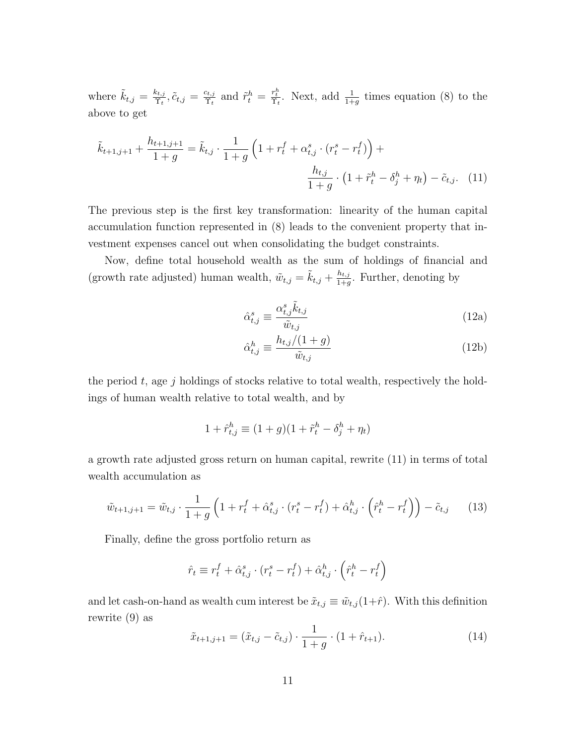where  $\tilde{k}_{t,j} = \frac{k_{t,j}}{\Upsilon_t}$  $\frac{k_{t,j}}{\Upsilon_t}, \tilde{c}_{t,j} = \frac{c_{t,j}}{\Upsilon_t}$  $\frac{c_{t,j}}{\Upsilon_t}$  and  $\tilde{r}_t^h = \frac{r_t^h}{\Upsilon_t}$ . Next, add  $\frac{1}{1+g}$  times equation (8) to the above to get

$$
\tilde{k}_{t+1,j+1} + \frac{h_{t+1,j+1}}{1+g} = \tilde{k}_{t,j} \cdot \frac{1}{1+g} \left( 1 + r_t^f + \alpha_{t,j}^s \cdot (r_t^s - r_t^f) \right) + \frac{h_{t,j}}{1+g} \cdot \left( 1 + \tilde{r}_t^h - \delta_j^h + \eta_t \right) - \tilde{c}_{t,j}. \tag{11}
$$

The previous step is the first key transformation: linearity of the human capital accumulation function represented in (8) leads to the convenient property that investment expenses cancel out when consolidating the budget constraints.

Now, define total household wealth as the sum of holdings of financial and (growth rate adjusted) human wealth,  $\tilde{w}_{t,j} = \tilde{k}_{t,j} + \frac{h_{t,j}}{1+t}$  $\frac{n_{t,j}}{1+g}$ . Further, denoting by

$$
\hat{\alpha}_{t,j}^s \equiv \frac{\alpha_{t,j}^s \tilde{k}_{t,j}}{\tilde{w}_{t,j}}\tag{12a}
$$

$$
\hat{\alpha}_{t,j}^h \equiv \frac{h_{t,j}/(1+g)}{\tilde{w}_{t,j}}\tag{12b}
$$

the period *t*, age *j* holdings of stocks relative to total wealth, respectively the holdings of human wealth relative to total wealth, and by

$$
1+\hat{r}_{t,j}^h\equiv (1+g)(1+\tilde{r}_t^h-\delta_j^h+\eta_t)
$$

a growth rate adjusted gross return on human capital, rewrite (11) in terms of total wealth accumulation as

$$
\tilde{w}_{t+1,j+1} = \tilde{w}_{t,j} \cdot \frac{1}{1+g} \left( 1 + r_t^f + \hat{\alpha}_{t,j}^s \cdot (r_t^s - r_t^f) + \hat{\alpha}_{t,j}^h \cdot \left( \hat{r}_t^h - r_t^f \right) \right) - \tilde{c}_{t,j} \tag{13}
$$

Finally, define the gross portfolio return as

$$
\hat{r}_t \equiv r_t^f + \hat{\alpha}_{t,j}^s \cdot (r_t^s - r_t^f) + \hat{\alpha}_{t,j}^h \cdot \left(\hat{r}_t^h - r_t^f\right)
$$

and let cash-on-hand as wealth cum interest be  $\tilde{x}_{t,j} \equiv \tilde{w}_{t,j}(1+\hat{r})$ . With this definition rewrite (9) as

$$
\tilde{x}_{t+1,j+1} = (\tilde{x}_{t,j} - \tilde{c}_{t,j}) \cdot \frac{1}{1+g} \cdot (1+\hat{r}_{t+1}).
$$
\n(14)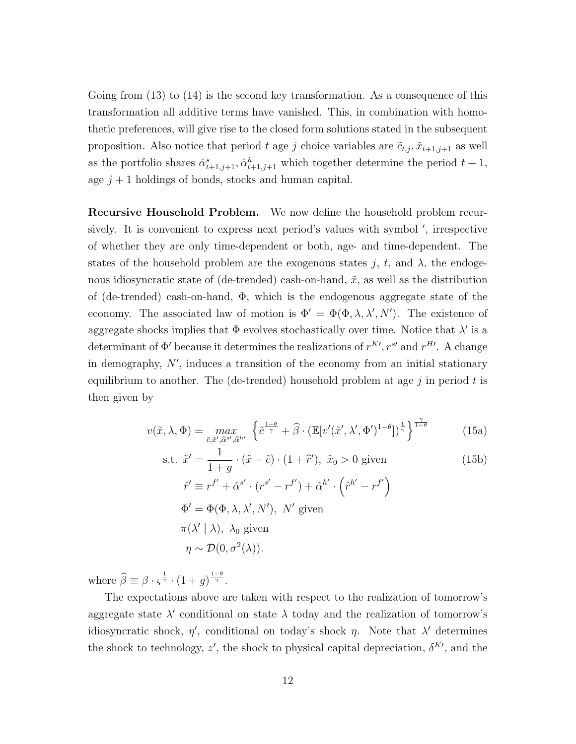Going from (13) to (14) is the second key transformation. As a consequence of this transformation all additive terms have vanished. This, in combination with homothetic preferences, will give rise to the closed form solutions stated in the subsequent proposition. Also notice that period *t* age *j* choice variables are  $\tilde{c}_{t,j}, \tilde{x}_{t+1,j+1}$  as well as the portfolio shares  $\hat{\alpha}_{t+1,j+1}^s, \hat{\alpha}_{t+1,j+1}^h$  which together determine the period  $t+1$ , age  $j + 1$  holdings of bonds, stocks and human capital.

**Recursive Household Problem.** We now define the household problem recursively. It is convenient to express next period's values with symbol *′* , irrespective of whether they are only time-dependent or both, age- and time-dependent. The states of the household problem are the exogenous states  $j, t$ , and  $\lambda$ , the endogenous idiosyncratic state of (de-trended) cash-on-hand,  $\tilde{x}$ , as well as the distribution of (de-trended) cash-on-hand,  $\Phi$ , which is the endogenous aggregate state of the economy. The associated law of motion is  $\Phi' = \Phi(\Phi, \lambda, \lambda', N')$ . The existence of aggregate shocks implies that  $\Phi$  evolves stochastically over time. Notice that  $\lambda'$  is a determinant of  $\Phi'$  because it determines the realizations of  $r^{K}$ <sup>*, r*<sup>*s*</sup> and  $r^{H}$ <sup>*.*</sup> A change</sup> in demography, *N′* , induces a transition of the economy from an initial stationary equilibrium to another. The (de-trended) household problem at age *j* in period *t* is then given by

$$
v(\tilde{x}, \lambda, \Phi) = \max_{\tilde{c}, \tilde{x}', \tilde{\alpha}^{s'}, \tilde{\alpha}^{h'}} \left\{ \tilde{c}^{\frac{1-\theta}{\gamma}} + \hat{\beta} \cdot (\mathbb{E}[v'(\tilde{x}', \lambda', \Phi')]^{1-\theta}] \right\}^{\frac{1}{\gamma}} \right\}^{\frac{\gamma}{1-\theta}}
$$
(15a)

s.t. 
$$
\tilde{x}' = \frac{1}{1+g} \cdot (\tilde{x} - \tilde{c}) \cdot (1+\tilde{r}'), \ \tilde{x}_0 > 0 \text{ given}
$$
  
\n
$$
\hat{r}' \equiv r^{f'} + \hat{\alpha}^{s'} \cdot (r^{s'} - r^{f'}) + \hat{\alpha}^{h'} \cdot (\hat{r}^{h'} - r^{f'})
$$
  
\n
$$
\Phi' = \Phi(\Phi, \lambda, \lambda', N'), \ N' \text{ given}
$$
  
\n
$$
\pi(\lambda' | \lambda), \ \lambda_0 \text{ given}
$$
  
\n
$$
\eta \sim \mathcal{D}(0, \sigma^2(\lambda)).
$$
\n(15b)

where  $\widehat{\beta} \equiv \beta \cdot \varsigma^{\frac{1}{\gamma}} \cdot (1+g)^{\frac{1-\theta}{\gamma}}$ .

The expectations above are taken with respect to the realization of tomorrow's aggregate state  $\lambda'$  conditional on state  $\lambda$  today and the realization of tomorrow's idiosyncratic shock,  $\eta'$ , conditional on today's shock  $\eta$ . Note that  $\lambda'$  determines the shock to technology,  $z'$ , the shock to physical capital depreciation,  $\delta^{K'}$ , and the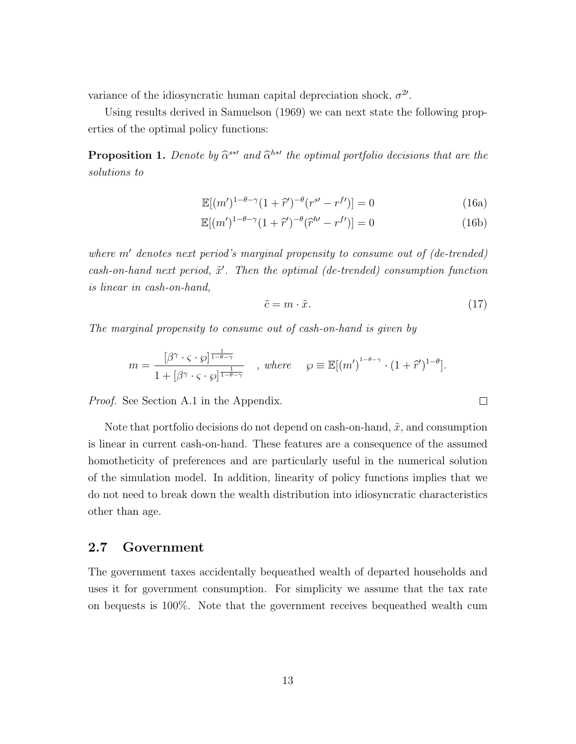variance of the idiosyncratic human capital depreciation shock,  $\sigma^2$ .

Using results derived in Samuelson (1969) we can next state the following properties of the optimal policy functions:

**Proposition 1.** *Denote by*  $\hat{\alpha}^{s*}$ *' and*  $\hat{\alpha}^{h*}$ *' the optimal portfolio decisions that are the solutions to*

$$
\mathbb{E}[(m')^{1-\theta-\gamma}(1+\hat{r}')^{-\theta}(r^{s'}-r^{f'})] = 0
$$
\n(16a)

$$
\mathbb{E}[(m')^{1-\theta-\gamma}(1+\hat{r}')^{-\theta}(\hat{r}^{h'}-r^{f'})]=0
$$
\n(16b)

*where m′ denotes next period's marginal propensity to consume out of (de-trended)* cash-on-hand next period,  $\tilde{x}'$ . Then the optimal (de-trended) consumption function *is linear in cash-on-hand,*

$$
\tilde{c} = m \cdot \tilde{x}.\tag{17}
$$

 $\Box$ 

*The marginal propensity to consume out of cash-on-hand is given by*

$$
m = \frac{[\beta^{\gamma} \cdot \varsigma \cdot \wp]^{\frac{1}{1-\theta-\gamma}}}{1 + [\beta^{\gamma} \cdot \varsigma \cdot \wp]^{\frac{1}{1-\theta-\gamma}}} \quad , \text{ where } \quad \wp \equiv \mathbb{E}[(m')^{1-\theta-\gamma} \cdot (1+\hat{r}')^{1-\theta}].
$$

*Proof.* See Section A.1 in the Appendix.

Note that portfolio decisions do not depend on cash-on-hand,  $\tilde{x}$ , and consumption is linear in current cash-on-hand. These features are a consequence of the assumed homotheticity of preferences and are particularly useful in the numerical solution of the simulation model. In addition, linearity of policy functions implies that we do not need to break down the wealth distribution into idiosyncratic characteristics other than age.

#### **2.7 Government**

The government taxes accidentally bequeathed wealth of departed households and uses it for government consumption. For simplicity we assume that the tax rate on bequests is 100%. Note that the government receives bequeathed wealth cum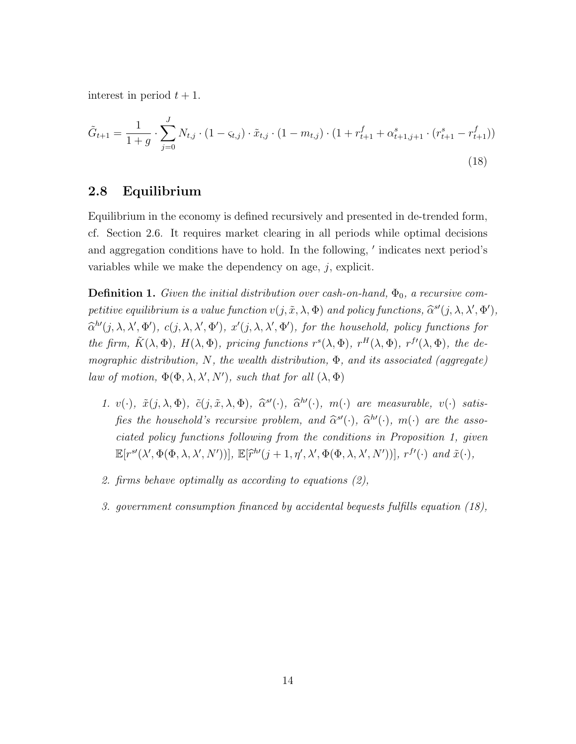interest in period  $t + 1$ .

$$
\tilde{G}_{t+1} = \frac{1}{1+g} \cdot \sum_{j=0}^{J} N_{t,j} \cdot (1 - \varsigma_{t,j}) \cdot \tilde{x}_{t,j} \cdot (1 - m_{t,j}) \cdot (1 + r_{t+1}^f + \alpha_{t+1,j+1}^s \cdot (r_{t+1}^s - r_{t+1}^f))
$$
\n(18)

#### **2.8 Equilibrium**

Equilibrium in the economy is defined recursively and presented in de-trended form, cf. Section 2.6. It requires market clearing in all periods while optimal decisions and aggregation conditions have to hold. In the following, *′* indicates next period's variables while we make the dependency on age, *j*, explicit.

**Definition 1.** *Given the initial distribution over cash-on-hand,*  $\Phi_0$ *, a recursive competitive equilibrium is a value function*  $v(j, \tilde{x}, \lambda, \Phi)$  *and policy functions,*  $\hat{\alpha}^{s'}(j, \lambda, \lambda', \Phi'),$  $\widehat{\alpha}^{h'}(j,\lambda,\lambda',\Phi'), c(j,\lambda,\lambda',\Phi'), x'(j,\lambda,\lambda',\Phi'),$  for the household, policy functions for the firm,  $\tilde{K}(\lambda, \Phi)$ ,  $H(\lambda, \Phi)$ , pricing functions  $r^{s}(\lambda, \Phi)$ ,  $r^{H}(\lambda, \Phi)$ ,  $r^{f'}(\lambda, \Phi)$ , the de*mographic distribution, N, the wealth distribution,* Φ*, and its associated (aggregate) law of motion,*  $\Phi(\Phi, \lambda, \lambda', N')$ *, such that for all*  $(\lambda, \Phi)$ 

- 1.  $v(\cdot)$ ,  $\tilde{x}(j,\lambda,\Phi)$ ,  $\tilde{c}(j,\tilde{x},\lambda,\Phi)$ ,  $\hat{\alpha}^{s}(\cdot)$ ,  $\hat{\alpha}^{h}(\cdot)$ ,  $m(\cdot)$  are measurable,  $v(\cdot)$  satis*fies the household's recursive problem, and*  $\hat{\alpha}^{s'}(\cdot)$ *,*  $\hat{\alpha}^{b'}(\cdot)$ *,*  $m(\cdot)$  *are the associated policy functions following from the conditions in Proposition 1, given*  $\mathbb{E}[r^{s\prime}(\lambda', \Phi(\Phi, \lambda, \lambda', N'))], \mathbb{E}[\tilde{r}^{h\prime}(j+1, \eta', \lambda', \Phi(\Phi, \lambda, \lambda', N'))], r^{f\prime}(\cdot) \text{ and } \tilde{x}(\cdot),$
- *2. firms behave optimally as according to equations (2),*
- *3. government consumption financed by accidental bequests fulfills equation (18),*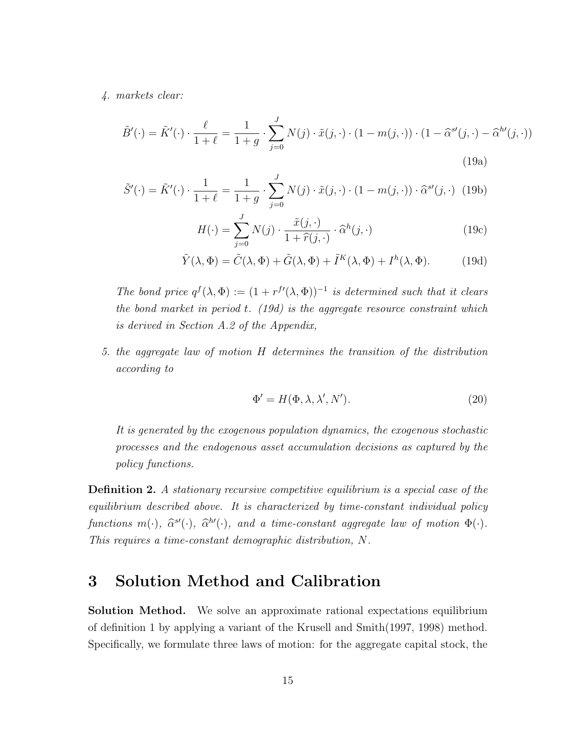*4. markets clear:*

$$
\tilde{B}'(\cdot) = \tilde{K}'(\cdot) \cdot \frac{\ell}{1+\ell} = \frac{1}{1+g} \cdot \sum_{j=0}^{J} N(j) \cdot \tilde{x}(j, \cdot) \cdot (1-m(j, \cdot)) \cdot (1-\hat{\alpha}^{s'}(j, \cdot) - \hat{\alpha}^{h'}(j, \cdot))
$$
\n(19a)

$$
\tilde{S}'(\cdot) = \tilde{K}'(\cdot) \cdot \frac{1}{1+\ell} = \frac{1}{1+g} \cdot \sum_{j=0}^{J} N(j) \cdot \tilde{x}(j, \cdot) \cdot (1-m(j, \cdot)) \cdot \hat{\alpha}^{s'}(j, \cdot) \tag{19b}
$$

$$
H(\cdot) = \sum_{j=0}^{J} N(j) \cdot \frac{\tilde{x}(j, \cdot)}{1 + \hat{r}(j, \cdot)} \cdot \hat{\alpha}^{h}(j, \cdot)
$$
 (19c)

$$
\tilde{Y}(\lambda, \Phi) = \tilde{C}(\lambda, \Phi) + \tilde{G}(\lambda, \Phi) + \tilde{I}^K(\lambda, \Phi) + I^h(\lambda, \Phi).
$$
 (19d)

*The bond price*  $q^f(\lambda, \Phi) := (1 + r^{f'}(\lambda, \Phi))^{-1}$  *is determined such that it clears the bond market in period t. (19d) is the aggregate resource constraint which is derived in Section A.2 of the Appendix,*

*5. the aggregate law of motion H determines the transition of the distribution according to*

$$
\Phi' = H(\Phi, \lambda, \lambda', N'). \tag{20}
$$

*It is generated by the exogenous population dynamics, the exogenous stochastic processes and the endogenous asset accumulation decisions as captured by the policy functions.*

**Definition 2.** *A stationary recursive competitive equilibrium is a special case of the equilibrium described above. It is characterized by time-constant individual policy functions*  $m(\cdot)$ *,*  $\hat{\alpha}^{s}(\cdot)$ *,*  $\hat{\alpha}^{h}(\cdot)$ *,* and a time-constant aggregate law of motion  $\Phi(\cdot)$ *. This requires a time-constant demographic distribution, N.*

# **3 Solution Method and Calibration**

**Solution Method.** We solve an approximate rational expectations equilibrium of definition 1 by applying a variant of the Krusell and Smith(1997, 1998) method. Specifically, we formulate three laws of motion: for the aggregate capital stock, the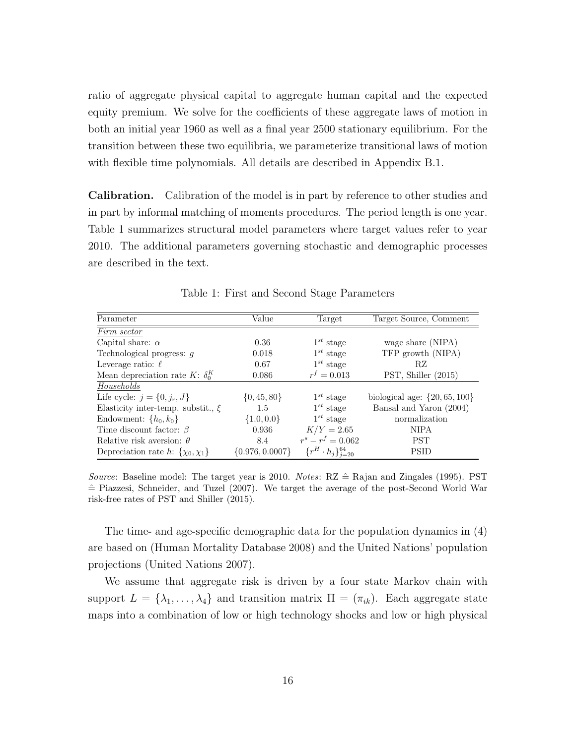ratio of aggregate physical capital to aggregate human capital and the expected equity premium. We solve for the coefficients of these aggregate laws of motion in both an initial year 1960 as well as a final year 2500 stationary equilibrium. For the transition between these two equilibria, we parameterize transitional laws of motion with flexible time polynomials. All details are described in Appendix B.1.

**Calibration.** Calibration of the model is in part by reference to other studies and in part by informal matching of moments procedures. The period length is one year. Table 1 summarizes structural model parameters where target values refer to year 2010. The additional parameters governing stochastic and demographic processes are described in the text.

| Parameter                                 | Value               | Target                          | Target Source, Comment            |  |
|-------------------------------------------|---------------------|---------------------------------|-----------------------------------|--|
| Firm sector                               |                     |                                 |                                   |  |
| Capital share: $\alpha$                   | 0.36                | $1^{st}$ stage                  | wage share (NIPA)                 |  |
| Technological progress: $q$               | 0.018               | $1^{st}$ stage                  | TFP growth (NIPA)                 |  |
| Leverage ratio: $\ell$                    | 0.67                | $1^{st}$ stage                  | RZ                                |  |
| Mean depreciation rate K: $\delta_0^K$    | 0.086               | $r^f = 0.013$                   | PST, Shiller (2015)               |  |
| Households                                |                     |                                 |                                   |  |
| Life cycle: $j = \{0, j_r, J\}$           | $\{0, 45, 80\}$     | $1^{st}$ stage                  | biological age: $\{20, 65, 100\}$ |  |
| Elasticity inter-temp. substit., $\xi$    | 1.5                 | $1^{st}$ stage                  | Bansal and Yaron (2004)           |  |
| Endowment: $\{h_0, k_0\}$                 | $\{1.0, 0.0\}$      | $1^{st}$ stage                  | normalization                     |  |
| Time discount factor: $\beta$             | 0.936               | $K/Y = 2.65$                    | <b>NIPA</b>                       |  |
| Relative risk aversion: $\theta$          | 8.4                 | $r^s - r^f = 0.062$             | <b>PST</b>                        |  |
| Depreciation rate h: $\{\chi_0, \chi_1\}$ | $\{0.976, 0.0007\}$ | $\{r^H \cdot h_j\}_{i=20}^{64}$ | <b>PSID</b>                       |  |

Table 1: First and Second Stage Parameters

*Source*: Baseline model: The target year is 2010. *Notes*:  $RZ \hat{=}$  Rajan and Zingales (1995). PST  $\hat{=}$  Piazzesi, Schneider, and Tuzel (2007). We target the average of the post-Second World War risk-free rates of PST and Shiller (2015).

The time- and age-specific demographic data for the population dynamics in (4) are based on (Human Mortality Database 2008) and the United Nations' population projections (United Nations 2007).

We assume that aggregate risk is driven by a four state Markov chain with support  $L = {\lambda_1, ..., \lambda_4}$  and transition matrix  $\Pi = (\pi_{ik})$ . Each aggregate state maps into a combination of low or high technology shocks and low or high physical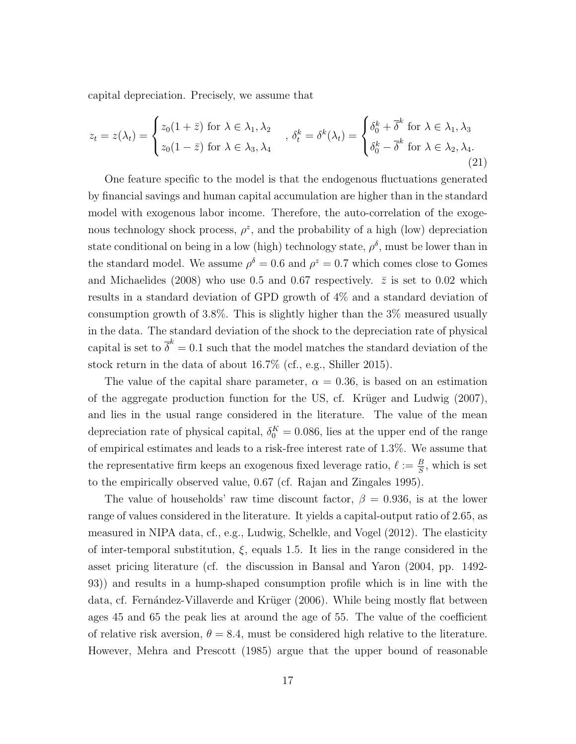capital depreciation. Precisely, we assume that

$$
z_t = z(\lambda_t) = \begin{cases} z_0(1+\bar{z}) \text{ for } \lambda \in \lambda_1, \lambda_2 \\ z_0(1-\bar{z}) \text{ for } \lambda \in \lambda_3, \lambda_4 \end{cases}, \delta_t^k = \delta^k(\lambda_t) = \begin{cases} \delta_0^k + \bar{\delta}^k \text{ for } \lambda \in \lambda_1, \lambda_3 \\ \delta_0^k - \bar{\delta}^k \text{ for } \lambda \in \lambda_2, \lambda_4. \end{cases}
$$
(21)

One feature specific to the model is that the endogenous fluctuations generated by financial savings and human capital accumulation are higher than in the standard model with exogenous labor income. Therefore, the auto-correlation of the exogenous technology shock process,  $\rho^z$ , and the probability of a high (low) depreciation state conditional on being in a low (high) technology state,  $\rho^{\delta}$ , must be lower than in the standard model. We assume  $\rho^{\delta} = 0.6$  and  $\rho^z = 0.7$  which comes close to Gomes and Michaelides (2008) who use 0.5 and 0.67 respectively.  $\bar{z}$  is set to 0.02 which results in a standard deviation of GPD growth of 4% and a standard deviation of consumption growth of 3*.*8%. This is slightly higher than the 3% measured usually in the data. The standard deviation of the shock to the depreciation rate of physical capital is set to  $\overline{\delta}^k = 0.1$  such that the model matches the standard deviation of the stock return in the data of about 16*.*7% (cf., e.g., Shiller 2015).

The value of the capital share parameter,  $\alpha = 0.36$ , is based on an estimation of the aggregate production function for the US, cf. Krüger and Ludwig  $(2007)$ , and lies in the usual range considered in the literature. The value of the mean depreciation rate of physical capital,  $\delta_0^K = 0.086$ , lies at the upper end of the range of empirical estimates and leads to a risk-free interest rate of 1*.*3%. We assume that the representative firm keeps an exogenous fixed leverage ratio,  $\ell := \frac{B}{S}$ , which is set to the empirically observed value, 0*.*67 (cf. Rajan and Zingales 1995).

The value of households' raw time discount factor,  $\beta = 0.936$ , is at the lower range of values considered in the literature. It yields a capital-output ratio of 2*.*65, as measured in NIPA data, cf., e.g., Ludwig, Schelkle, and Vogel (2012). The elasticity of inter-temporal substitution, *ξ*, equals 1*.*5. It lies in the range considered in the asset pricing literature (cf. the discussion in Bansal and Yaron (2004, pp. 1492- 93)) and results in a hump-shaped consumption profile which is in line with the data, cf. Fernández-Villaverde and Krüger (2006). While being mostly flat between ages 45 and 65 the peak lies at around the age of 55. The value of the coefficient of relative risk aversion,  $\theta = 8.4$ , must be considered high relative to the literature. However, Mehra and Prescott (1985) argue that the upper bound of reasonable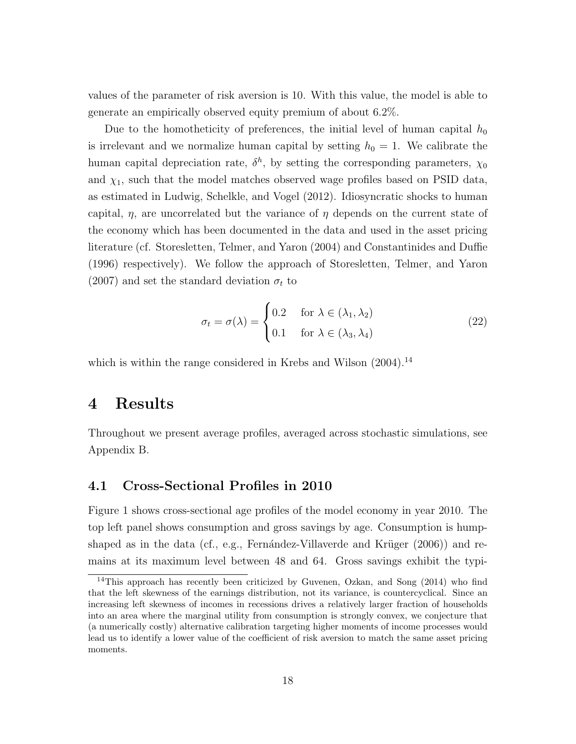values of the parameter of risk aversion is 10. With this value, the model is able to generate an empirically observed equity premium of about 6*.*2%.

Due to the homotheticity of preferences, the initial level of human capital  $h_0$ is irrelevant and we normalize human capital by setting  $h_0 = 1$ . We calibrate the human capital depreciation rate,  $\delta^h$ , by setting the corresponding parameters,  $\chi_0$ and  $\chi_1$ , such that the model matches observed wage profiles based on PSID data, as estimated in Ludwig, Schelkle, and Vogel (2012). Idiosyncratic shocks to human capital,  $\eta$ , are uncorrelated but the variance of  $\eta$  depends on the current state of the economy which has been documented in the data and used in the asset pricing literature (cf. Storesletten, Telmer, and Yaron (2004) and Constantinides and Duffie (1996) respectively). We follow the approach of Storesletten, Telmer, and Yaron (2007) and set the standard deviation  $\sigma_t$  to

$$
\sigma_t = \sigma(\lambda) = \begin{cases} 0.2 & \text{for } \lambda \in (\lambda_1, \lambda_2) \\ 0.1 & \text{for } \lambda \in (\lambda_3, \lambda_4) \end{cases} \tag{22}
$$

which is within the range considered in Krebs and Wilson  $(2004).<sup>14</sup>$ 

## **4 Results**

Throughout we present average profiles, averaged across stochastic simulations, see Appendix B.

#### **4.1 Cross-Sectional Profiles in 2010**

Figure 1 shows cross-sectional age profiles of the model economy in year 2010. The top left panel shows consumption and gross savings by age. Consumption is humpshaped as in the data (cf., e.g., Fernandez-Villaverde and Krüger  $(2006)$ ) and remains at its maximum level between 48 and 64. Gross savings exhibit the typi-

<sup>&</sup>lt;sup>14</sup>This approach has recently been criticized by Guvenen, Ozkan, and Song (2014) who find that the left skewness of the earnings distribution, not its variance, is countercyclical. Since an increasing left skewness of incomes in recessions drives a relatively larger fraction of households into an area where the marginal utility from consumption is strongly convex, we conjecture that (a numerically costly) alternative calibration targeting higher moments of income processes would lead us to identify a lower value of the coefficient of risk aversion to match the same asset pricing moments.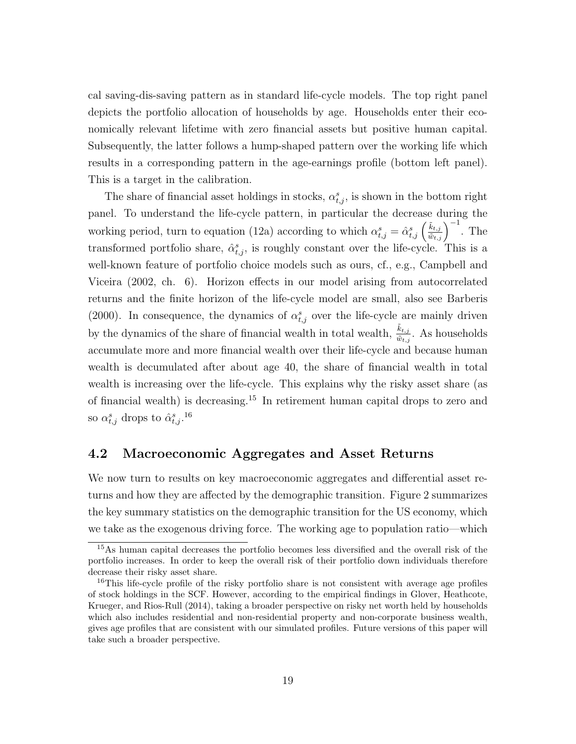cal saving-dis-saving pattern as in standard life-cycle models. The top right panel depicts the portfolio allocation of households by age. Households enter their economically relevant lifetime with zero financial assets but positive human capital. Subsequently, the latter follows a hump-shaped pattern over the working life which results in a corresponding pattern in the age-earnings profile (bottom left panel). This is a target in the calibration.

The share of financial asset holdings in stocks,  $\alpha_{t,j}^s$ , is shown in the bottom right panel. To understand the life-cycle pattern, in particular the decrease during the working period, turn to equation (12a) according to which  $\alpha_{t,j}^s = \hat{\alpha}_{t,j}^s \left(\frac{\tilde{k}_{t,j}}{\tilde{w}_{t,j}}\right)^{-1}$ . The transformed portfolio share,  $\hat{\alpha}_{t,j}^s$ , is roughly constant over the life-cycle. This is a well-known feature of portfolio choice models such as ours, cf., e.g., Campbell and Viceira (2002, ch. 6). Horizon effects in our model arising from autocorrelated returns and the finite horizon of the life-cycle model are small, also see Barberis (2000). In consequence, the dynamics of  $\alpha_{t,j}^s$  over the life-cycle are mainly driven by the dynamics of the share of financial wealth in total wealth,  $\frac{\tilde{k}_{t,j}}{\tilde{w}_{t,j}}$ . As households accumulate more and more financial wealth over their life-cycle and because human wealth is decumulated after about age 40, the share of financial wealth in total wealth is increasing over the life-cycle. This explains why the risky asset share (as of financial wealth) is decreasing.<sup>15</sup> In retirement human capital drops to zero and so  $\alpha_{t,j}^s$  drops to  $\hat{\alpha}_{t,j}^s$ .<sup>16</sup>

### **4.2 Macroeconomic Aggregates and Asset Returns**

We now turn to results on key macroeconomic aggregates and differential asset returns and how they are affected by the demographic transition. Figure 2 summarizes the key summary statistics on the demographic transition for the US economy, which we take as the exogenous driving force. The working age to population ratio—which

<sup>&</sup>lt;sup>15</sup>As human capital decreases the portfolio becomes less diversified and the overall risk of the portfolio increases. In order to keep the overall risk of their portfolio down individuals therefore decrease their risky asset share.

<sup>&</sup>lt;sup>16</sup>This life-cycle profile of the risky portfolio share is not consistent with average age profiles of stock holdings in the SCF. However, according to the empirical findings in Glover, Heathcote, Krueger, and Rios-Rull (2014), taking a broader perspective on risky net worth held by households which also includes residential and non-residential property and non-corporate business wealth, gives age profiles that are consistent with our simulated profiles. Future versions of this paper will take such a broader perspective.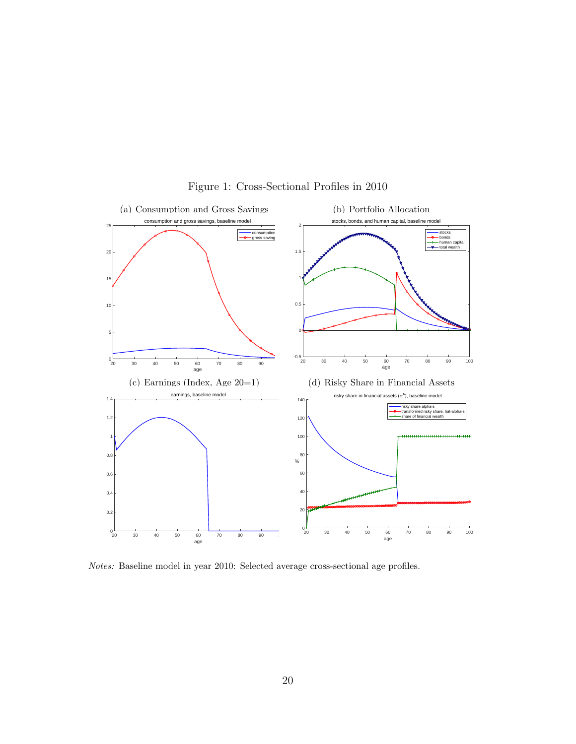

#### Figure 1: Cross-Sectional Profiles in 2010

*Notes:* Baseline model in year 2010: Selected average cross-sectional age profiles.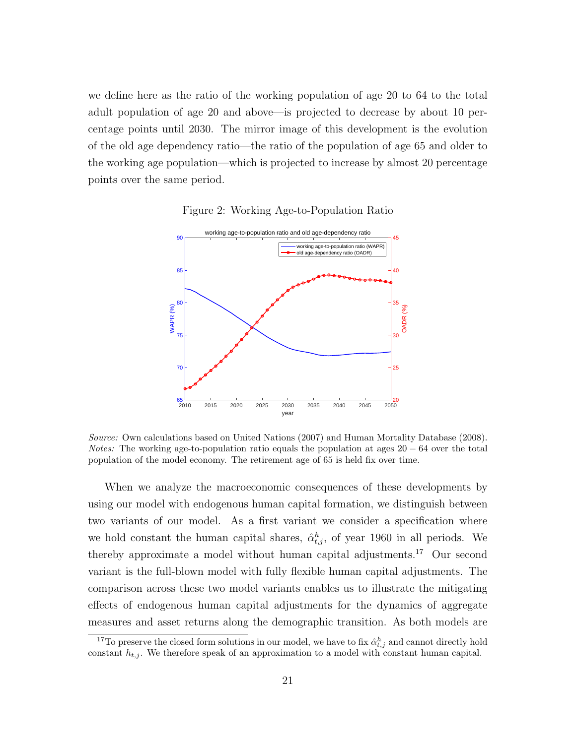we define here as the ratio of the working population of age 20 to 64 to the total adult population of age 20 and above—is projected to decrease by about 10 percentage points until 2030. The mirror image of this development is the evolution of the old age dependency ratio—the ratio of the population of age 65 and older to the working age population—which is projected to increase by almost 20 percentage points over the same period.



Figure 2: Working Age-to-Population Ratio

*Source:* Own calculations based on United Nations (2007) and Human Mortality Database (2008). *Notes:* The working age-to-population ratio equals the population at ages 20 − 64 over the total population of the model economy. The retirement age of 65 is held fix over time.

When we analyze the macroeconomic consequences of these developments by using our model with endogenous human capital formation, we distinguish between two variants of our model. As a first variant we consider a specification where we hold constant the human capital shares,  $\hat{\alpha}_{t,j}^h$ , of year 1960 in all periods. We thereby approximate a model without human capital adjustments.<sup>17</sup> Our second variant is the full-blown model with fully flexible human capital adjustments. The comparison across these two model variants enables us to illustrate the mitigating effects of endogenous human capital adjustments for the dynamics of aggregate measures and asset returns along the demographic transition. As both models are

<sup>&</sup>lt;sup>17</sup>To preserve the closed form solutions in our model, we have to fix  $\hat{\alpha}_{t,j}^h$  and cannot directly hold constant  $h_{t,j}$ . We therefore speak of an approximation to a model with constant human capital.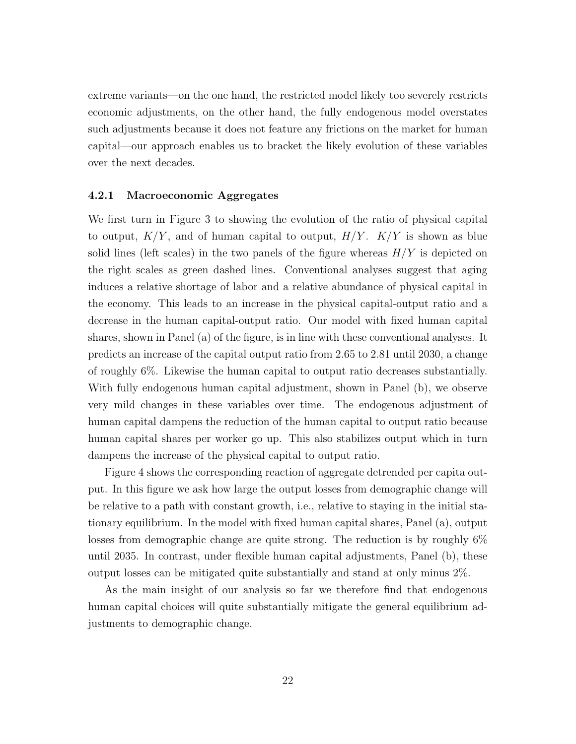extreme variants—on the one hand, the restricted model likely too severely restricts economic adjustments, on the other hand, the fully endogenous model overstates such adjustments because it does not feature any frictions on the market for human capital—our approach enables us to bracket the likely evolution of these variables over the next decades.

#### **4.2.1 Macroeconomic Aggregates**

We first turn in Figure 3 to showing the evolution of the ratio of physical capital to output, *K/Y* , and of human capital to output, *H/Y* . *K/Y* is shown as blue solid lines (left scales) in the two panels of the figure whereas *H/Y* is depicted on the right scales as green dashed lines. Conventional analyses suggest that aging induces a relative shortage of labor and a relative abundance of physical capital in the economy. This leads to an increase in the physical capital-output ratio and a decrease in the human capital-output ratio. Our model with fixed human capital shares, shown in Panel (a) of the figure, is in line with these conventional analyses. It predicts an increase of the capital output ratio from 2.65 to 2.81 until 2030, a change of roughly 6%. Likewise the human capital to output ratio decreases substantially. With fully endogenous human capital adjustment, shown in Panel (b), we observe very mild changes in these variables over time. The endogenous adjustment of human capital dampens the reduction of the human capital to output ratio because human capital shares per worker go up. This also stabilizes output which in turn dampens the increase of the physical capital to output ratio.

Figure 4 shows the corresponding reaction of aggregate detrended per capita output. In this figure we ask how large the output losses from demographic change will be relative to a path with constant growth, i.e., relative to staying in the initial stationary equilibrium. In the model with fixed human capital shares, Panel (a), output losses from demographic change are quite strong. The reduction is by roughly 6% until 2035. In contrast, under flexible human capital adjustments, Panel (b), these output losses can be mitigated quite substantially and stand at only minus 2%.

As the main insight of our analysis so far we therefore find that endogenous human capital choices will quite substantially mitigate the general equilibrium adjustments to demographic change.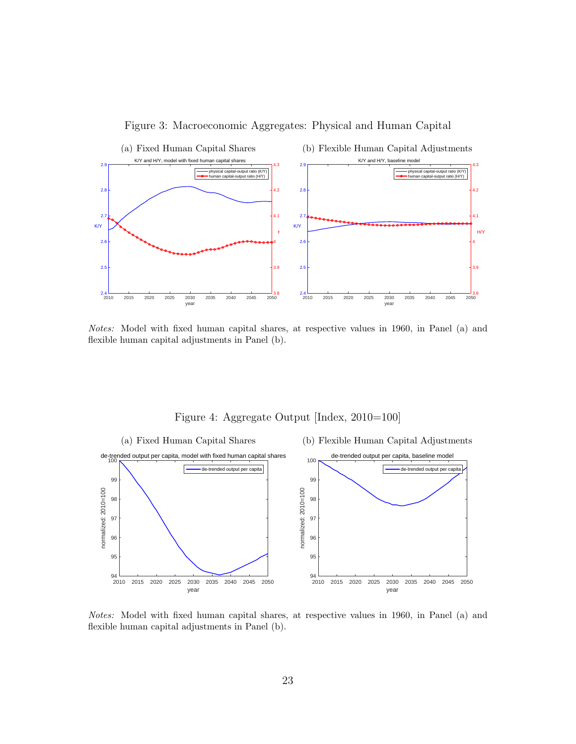

Figure 3: Macroeconomic Aggregates: Physical and Human Capital

*Notes:* Model with fixed human capital shares, at respective values in 1960, in Panel (a) and flexible human capital adjustments in Panel (b).



Figure 4: Aggregate Output [Index, 2010=100]

*Notes:* Model with fixed human capital shares, at respective values in 1960, in Panel (a) and flexible human capital adjustments in Panel (b).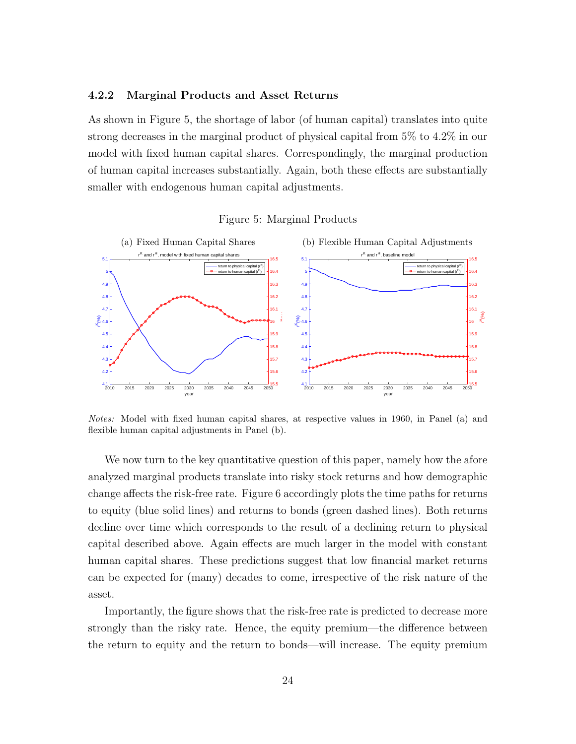#### **4.2.2 Marginal Products and Asset Returns**

As shown in Figure 5, the shortage of labor (of human capital) translates into quite strong decreases in the marginal product of physical capital from 5% to 4.2% in our model with fixed human capital shares. Correspondingly, the marginal production of human capital increases substantially. Again, both these effects are substantially smaller with endogenous human capital adjustments.





*Notes:* Model with fixed human capital shares, at respective values in 1960, in Panel (a) and flexible human capital adjustments in Panel (b).

We now turn to the key quantitative question of this paper, namely how the afore analyzed marginal products translate into risky stock returns and how demographic change affects the risk-free rate. Figure 6 accordingly plots the time paths for returns to equity (blue solid lines) and returns to bonds (green dashed lines). Both returns decline over time which corresponds to the result of a declining return to physical capital described above. Again effects are much larger in the model with constant human capital shares. These predictions suggest that low financial market returns can be expected for (many) decades to come, irrespective of the risk nature of the asset.

Importantly, the figure shows that the risk-free rate is predicted to decrease more strongly than the risky rate. Hence, the equity premium—the difference between the return to equity and the return to bonds—will increase. The equity premium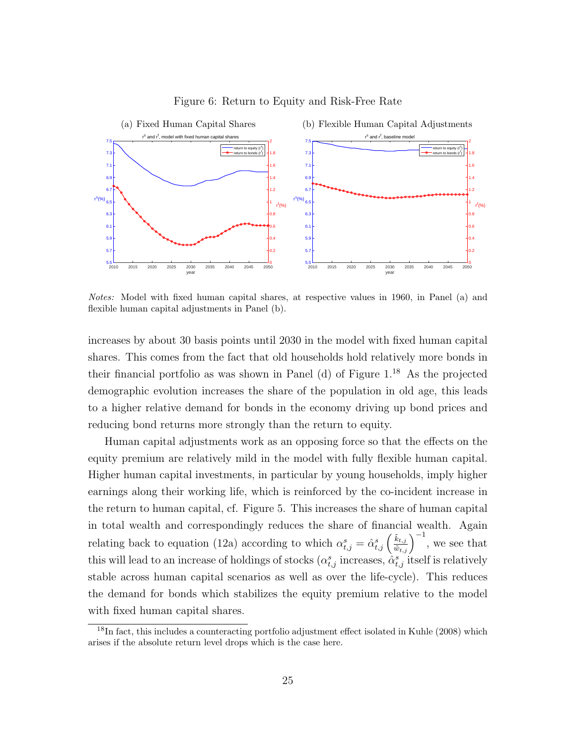

#### Figure 6: Return to Equity and Risk-Free Rate

*Notes:* Model with fixed human capital shares, at respective values in 1960, in Panel (a) and flexible human capital adjustments in Panel (b).

increases by about 30 basis points until 2030 in the model with fixed human capital shares. This comes from the fact that old households hold relatively more bonds in their financial portfolio as was shown in Panel (d) of Figure  $1^{18}$  As the projected demographic evolution increases the share of the population in old age, this leads to a higher relative demand for bonds in the economy driving up bond prices and reducing bond returns more strongly than the return to equity.

Human capital adjustments work as an opposing force so that the effects on the equity premium are relatively mild in the model with fully flexible human capital. Higher human capital investments, in particular by young households, imply higher earnings along their working life, which is reinforced by the co-incident increase in the return to human capital, cf. Figure 5. This increases the share of human capital in total wealth and correspondingly reduces the share of financial wealth. Again relating back to equation (12a) according to which  $\alpha_{t,j}^s = \hat{\alpha}_{t,j}^s \left(\frac{\tilde{k}_{t,j}}{\tilde{w}_{t,j}}\right)^{-1}$ , we see that this will lead to an increase of holdings of stocks  $(\alpha_{t,j}^s)$  increases,  $\hat{\alpha}_{t,j}^s$  itself is relatively stable across human capital scenarios as well as over the life-cycle). This reduces the demand for bonds which stabilizes the equity premium relative to the model with fixed human capital shares.

<sup>&</sup>lt;sup>18</sup>In fact, this includes a counteracting portfolio adjustment effect isolated in Kuhle (2008) which arises if the absolute return level drops which is the case here.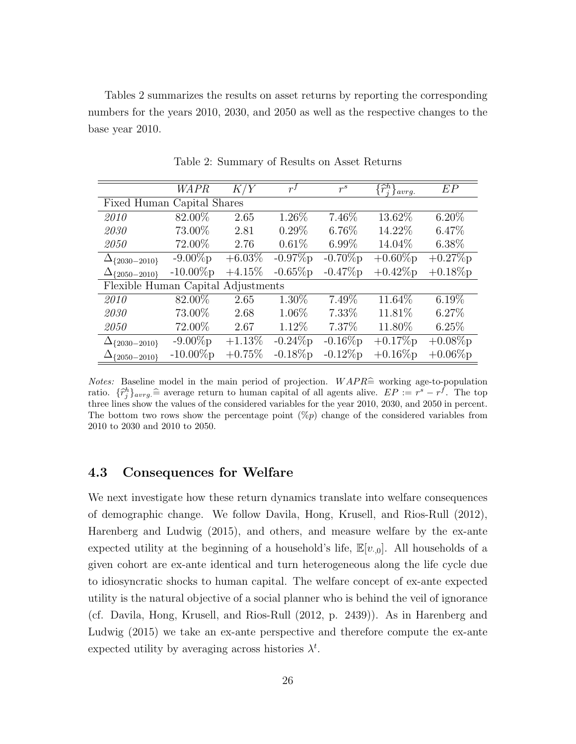Tables 2 summarizes the results on asset returns by reporting the corresponding numbers for the years 2010, 2030, and 2050 as well as the respective changes to the base year 2010.

|                                    | WAPR         | K/Y       | $r^{f}$    | $r^s$       | $\{\widehat{r}_i^h\}_{avrg.}$ | EP         |  |  |
|------------------------------------|--------------|-----------|------------|-------------|-------------------------------|------------|--|--|
| Fixed Human Capital Shares         |              |           |            |             |                               |            |  |  |
| 2010                               | 82.00%       | 2.65      | 1.26%      | 7.46%       | 13.62%                        | $6.20\%$   |  |  |
| 2030                               | 73.00%       | 2.81      | $0.29\%$   | 6.76%       | 14.22%                        | 6.47%      |  |  |
| 2050                               | 72.00%       | 2.76      | $0.61\%$   | $6.99\%$    | 14.04%                        | $6.38\%$   |  |  |
| $\Delta_{\{2030-2010\}}$           | $-9.00\%p$   | $+6.03\%$ | $-0.97\%p$ | $-0.70\%$ p | $+0.60\%p$                    | $+0.27\%p$ |  |  |
| $\Delta_{\{2050-2010\}}$           | $-10.00\%$ p | $+4.15%$  | $-0.65\%p$ | $-0.47\%p$  | $+0.42\%p$                    | $+0.18\%p$ |  |  |
| Flexible Human Capital Adjustments |              |           |            |             |                               |            |  |  |
| 2010                               | 82.00%       | 2.65      | 1.30%      | 7.49%       | 11.64%                        | $6.19\%$   |  |  |
| 2030                               | 73.00%       | 2.68      | 1.06%      | 7.33%       | 11.81%                        | 6.27%      |  |  |
| 2050                               | 72.00%       | 2.67      | 1.12\%     | 7.37\%      | 11.80%                        | 6.25%      |  |  |
| $\Delta_{2030-2010}$               | $-9.00\%p$   | $+1.13\%$ | $-0.24\%p$ | $-0.16\%p$  | $+0.17\%p$                    | $+0.08\%p$ |  |  |
| $\Delta_{\{2050-2010\}}$           | $-10.00\%$ p | $+0.75%$  | $-0.18\%p$ | $-0.12\%p$  | $+0.16\%p$                    | $+0.06\%p$ |  |  |

Table 2: Summary of Results on Asset Returns

*Notes:* Baseline model in the main period of projection.  $WAPR<sup>2</sup>$  working age-to-population ratio.  $\{\hat{r}_j^h\}_{\text{array}} \cong$  average return to human capital of all agents alive.  $EP := r^s - r^f$ . The top three lines show the values of the considered variables for the year 2010, 2030, and 2050 in percent. The bottom two rows show the percentage point  $(\%)p$  change of the considered variables from 2010 to 2030 and 2010 to 2050.

#### **4.3 Consequences for Welfare**

We next investigate how these return dynamics translate into welfare consequences of demographic change. We follow Davila, Hong, Krusell, and Rios-Rull (2012), Harenberg and Ludwig (2015), and others, and measure welfare by the ex-ante expected utility at the beginning of a household's life,  $\mathbb{E}[v_{0}]$ . All households of a given cohort are ex-ante identical and turn heterogeneous along the life cycle due to idiosyncratic shocks to human capital. The welfare concept of ex-ante expected utility is the natural objective of a social planner who is behind the veil of ignorance (cf. Davila, Hong, Krusell, and Rios-Rull (2012, p. 2439)). As in Harenberg and Ludwig (2015) we take an ex-ante perspective and therefore compute the ex-ante expected utility by averaging across histories  $\lambda^t$ .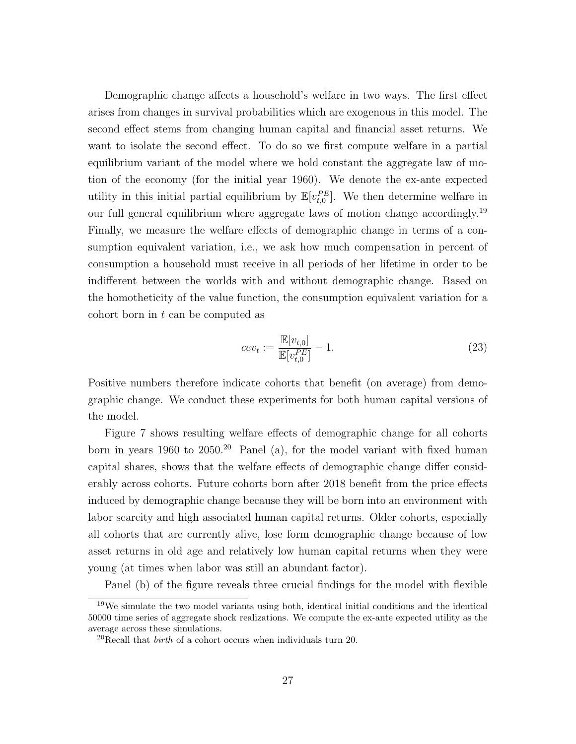Demographic change affects a household's welfare in two ways. The first effect arises from changes in survival probabilities which are exogenous in this model. The second effect stems from changing human capital and financial asset returns. We want to isolate the second effect. To do so we first compute welfare in a partial equilibrium variant of the model where we hold constant the aggregate law of motion of the economy (for the initial year 1960). We denote the ex-ante expected utility in this initial partial equilibrium by  $\mathbb{E}[v_{t,0}^{PE}]$ . We then determine welfare in our full general equilibrium where aggregate laws of motion change accordingly.<sup>19</sup> Finally, we measure the welfare effects of demographic change in terms of a consumption equivalent variation, i.e., we ask how much compensation in percent of consumption a household must receive in all periods of her lifetime in order to be indifferent between the worlds with and without demographic change. Based on the homotheticity of the value function, the consumption equivalent variation for a cohort born in *t* can be computed as

$$
cev_t := \frac{\mathbb{E}[v_{t,0}]}{\mathbb{E}[v_{t,0}^{PE}]} - 1.
$$
\n(23)

Positive numbers therefore indicate cohorts that benefit (on average) from demographic change. We conduct these experiments for both human capital versions of the model.

Figure 7 shows resulting welfare effects of demographic change for all cohorts born in years 1960 to  $2050<sup>20</sup>$  Panel (a), for the model variant with fixed human capital shares, shows that the welfare effects of demographic change differ considerably across cohorts. Future cohorts born after 2018 benefit from the price effects induced by demographic change because they will be born into an environment with labor scarcity and high associated human capital returns. Older cohorts, especially all cohorts that are currently alive, lose form demographic change because of low asset returns in old age and relatively low human capital returns when they were young (at times when labor was still an abundant factor).

Panel (b) of the figure reveals three crucial findings for the model with flexible

<sup>19</sup>We simulate the two model variants using both, identical initial conditions and the identical 50000 time series of aggregate shock realizations. We compute the ex-ante expected utility as the average across these simulations.

<sup>20</sup>Recall that *birth* of a cohort occurs when individuals turn 20.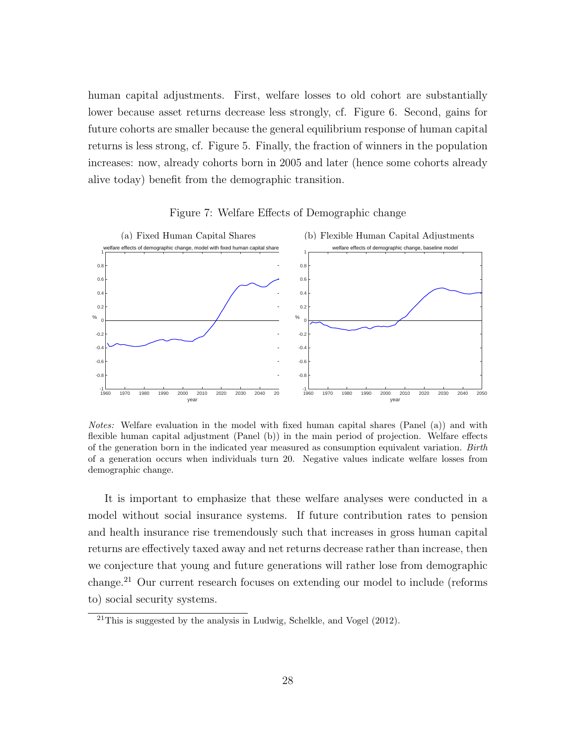human capital adjustments. First, welfare losses to old cohort are substantially lower because asset returns decrease less strongly, cf. Figure 6. Second, gains for future cohorts are smaller because the general equilibrium response of human capital returns is less strong, cf. Figure 5. Finally, the fraction of winners in the population increases: now, already cohorts born in 2005 and later (hence some cohorts already alive today) benefit from the demographic transition.



Figure 7: Welfare Effects of Demographic change

*Notes:* Welfare evaluation in the model with fixed human capital shares (Panel (a)) and with flexible human capital adjustment (Panel (b)) in the main period of projection. Welfare effects of the generation born in the indicated year measured as consumption equivalent variation. *Birth* of a generation occurs when individuals turn 20. Negative values indicate welfare losses from demographic change.

It is important to emphasize that these welfare analyses were conducted in a model without social insurance systems. If future contribution rates to pension and health insurance rise tremendously such that increases in gross human capital returns are effectively taxed away and net returns decrease rather than increase, then we conjecture that young and future generations will rather lose from demographic change.<sup>21</sup> Our current research focuses on extending our model to include (reforms to) social security systems.

 $^{21}$ This is suggested by the analysis in Ludwig, Schelkle, and Vogel (2012).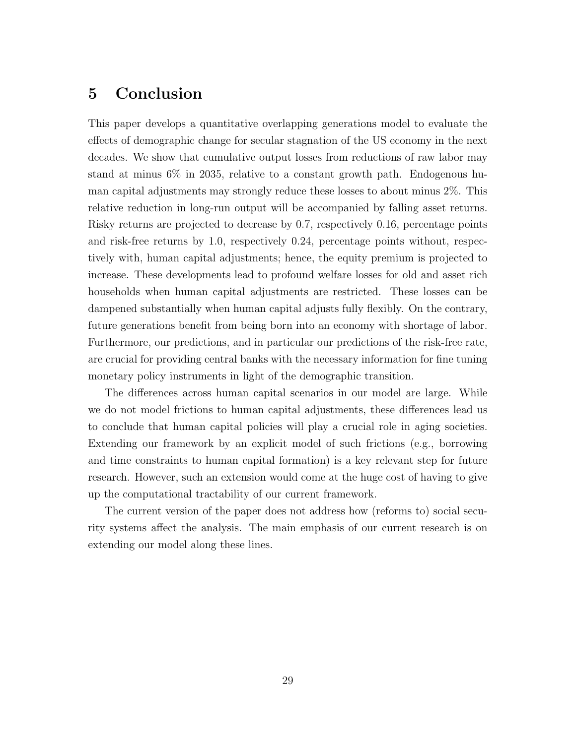# **5 Conclusion**

This paper develops a quantitative overlapping generations model to evaluate the effects of demographic change for secular stagnation of the US economy in the next decades. We show that cumulative output losses from reductions of raw labor may stand at minus 6% in 2035, relative to a constant growth path. Endogenous human capital adjustments may strongly reduce these losses to about minus 2%. This relative reduction in long-run output will be accompanied by falling asset returns. Risky returns are projected to decrease by 0.7, respectively 0.16, percentage points and risk-free returns by 1.0, respectively 0.24, percentage points without, respectively with, human capital adjustments; hence, the equity premium is projected to increase. These developments lead to profound welfare losses for old and asset rich households when human capital adjustments are restricted. These losses can be dampened substantially when human capital adjusts fully flexibly. On the contrary, future generations benefit from being born into an economy with shortage of labor. Furthermore, our predictions, and in particular our predictions of the risk-free rate, are crucial for providing central banks with the necessary information for fine tuning monetary policy instruments in light of the demographic transition.

The differences across human capital scenarios in our model are large. While we do not model frictions to human capital adjustments, these differences lead us to conclude that human capital policies will play a crucial role in aging societies. Extending our framework by an explicit model of such frictions (e.g., borrowing and time constraints to human capital formation) is a key relevant step for future research. However, such an extension would come at the huge cost of having to give up the computational tractability of our current framework.

The current version of the paper does not address how (reforms to) social security systems affect the analysis. The main emphasis of our current research is on extending our model along these lines.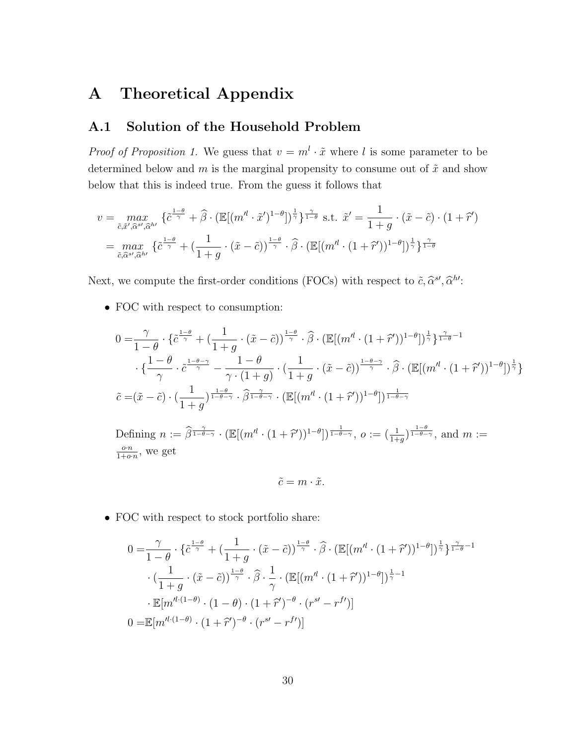# **A Theoretical Appendix**

## **A.1 Solution of the Household Problem**

*Proof of Proposition 1.* We guess that  $v = m^l \cdot \tilde{x}$  where *l* is some parameter to be determined below and  $m$  is the marginal propensity to consume out of  $\tilde{x}$  and show below that this is indeed true. From the guess it follows that

$$
v = \max_{\tilde{c}, \tilde{x}', \tilde{\alpha}^{s'}, \tilde{\alpha}^{h'}} \{ \tilde{c}^{\frac{1-\theta}{\gamma}} + \hat{\beta} \cdot (\mathbb{E}[(m'^{l} \cdot \tilde{x}')^{1-\theta}])^{\frac{1}{\gamma}} \}^{\frac{\gamma}{1-\theta}} \text{ s.t. } \tilde{x}' = \frac{1}{1+g} \cdot (\tilde{x} - \tilde{c}) \cdot (1+\tilde{r}')
$$
  
= 
$$
\max_{\tilde{c}, \tilde{\alpha}^{s'}, \tilde{\alpha}^{h'}} \{ \tilde{c}^{\frac{1-\theta}{\gamma}} + (\frac{1}{1+g} \cdot (\tilde{x} - \tilde{c}))^{\frac{1-\theta}{\gamma}} \cdot \hat{\beta} \cdot (\mathbb{E}[(m'^{l} \cdot (1+\tilde{r}'))^{1-\theta}])^{\frac{1}{\gamma}} \}^{\frac{\gamma}{1-\theta}}
$$

Next, we compute the first-order conditions (FOCs) with respect to  $\tilde{c}$ ,  $\hat{\alpha}^{s'}$ ,  $\hat{\alpha}^{h'}$ :

*•* FOC with respect to consumption:

$$
0 = \frac{\gamma}{1-\theta} \cdot \left\{ \tilde{c}^{\frac{1-\theta}{\gamma}} + \left( \frac{1}{1+g} \cdot (\tilde{x}-\tilde{c}) \right)^{\frac{1-\theta}{\gamma}} \cdot \hat{\beta} \cdot \left( \mathbb{E}[(m^{l} \cdot (1+\tilde{r}'))^{1-\theta}] \right)^{\frac{1}{\gamma}} \right\}^{\frac{\gamma}{1-\theta}-1}
$$
  

$$
\cdot \left\{ \frac{1-\theta}{\gamma} \cdot \tilde{c}^{\frac{1-\theta-\gamma}{\gamma}} - \frac{1-\theta}{\gamma \cdot (1+g)} \cdot \left( \frac{1}{1+g} \cdot (\tilde{x}-\tilde{c}) \right)^{\frac{1-\theta-\gamma}{\gamma}} \cdot \hat{\beta} \cdot \left( \mathbb{E}[(m^{l} \cdot (1+\tilde{r}'))^{1-\theta}] \right)^{\frac{1}{\gamma}} \right\}
$$
  

$$
\tilde{c} = (\tilde{x}-\tilde{c}) \cdot \left( \frac{1}{1+g} \right)^{\frac{1-\theta}{1-\theta-\gamma}} \cdot \hat{\beta}^{\frac{\gamma}{1-\theta-\gamma}} \cdot \left( \mathbb{E}[(m^{l} \cdot (1+\tilde{r}'))^{1-\theta}] \right)^{\frac{1}{1-\theta-\gamma}}
$$

Defining  $n := \widehat{\beta}^{\frac{\gamma}{1-\theta-\gamma}} \cdot (\mathbb{E}[(m'^{l} \cdot (1+\widehat{r}'))^{1-\theta}])^{\frac{1}{1-\theta-\gamma}}, o := (\frac{1}{1+g})^{\frac{1-\theta}{1-\theta-\gamma}}, \text{ and } m :=$ *o·n*  $\frac{o \cdot n}{1+o \cdot n}$ , we get

$$
\tilde{c} = m \cdot \tilde{x}.
$$

• FOC with respect to stock portfolio share:

$$
0 = \frac{\gamma}{1-\theta} \cdot \left\{ \tilde{c}^{\frac{1-\theta}{\gamma}} + \left( \frac{1}{1+g} \cdot (\tilde{x}-\tilde{c}) \right)^{\frac{1-\theta}{\gamma}} \cdot \widehat{\beta} \cdot \left( \mathbb{E}[(m'^{l} \cdot (1+\tilde{r}'))^{1-\theta}] \right)^{\frac{1}{\gamma}} \right\}^{\frac{\gamma}{1-\theta}-1}
$$

$$
\cdot \left( \frac{1}{1+g} \cdot (\tilde{x}-\tilde{c}) \right)^{\frac{1-\theta}{\gamma}} \cdot \widehat{\beta} \cdot \frac{1}{\gamma} \cdot \left( \mathbb{E}[(m'^{l} \cdot (1+\tilde{r}'))^{1-\theta}] \right)^{\frac{1}{\gamma}-1}
$$

$$
\cdot \mathbb{E}[m'^{l \cdot (1-\theta)} \cdot (1-\theta) \cdot (1+\tilde{r}')^{-\theta} \cdot (r^{sl}-r^{fl})]
$$

$$
0 = \mathbb{E}[m'^{l \cdot (1-\theta)} \cdot (1+\tilde{r}')^{-\theta} \cdot (r^{sl}-r^{fl})]
$$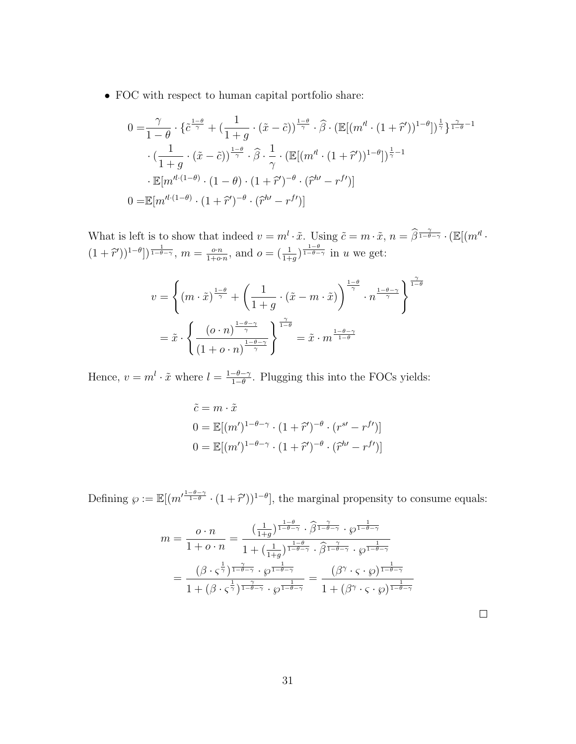*•* FOC with respect to human capital portfolio share:

$$
0 = \frac{\gamma}{1-\theta} \cdot \left\{ \tilde{c}^{\frac{1-\theta}{\gamma}} + \left( \frac{1}{1+g} \cdot (\tilde{x}-\tilde{c}) \right)^{\frac{1-\theta}{\gamma}} \cdot \hat{\beta} \cdot \left( \mathbb{E}[(m'^{l} \cdot (1+\tilde{r}'))^{1-\theta}] \right)^{\frac{1}{\gamma}} \right\}^{\frac{\gamma}{1-\theta}-1}
$$

$$
\cdot \left( \frac{1}{1+g} \cdot (\tilde{x}-\tilde{c}) \right)^{\frac{1-\theta}{\gamma}} \cdot \hat{\beta} \cdot \frac{1}{\gamma} \cdot \left( \mathbb{E}[(m'^{l} \cdot (1+\tilde{r}'))^{1-\theta}] \right)^{\frac{1}{\gamma}-1}
$$

$$
\cdot \mathbb{E}[m'^{l \cdot (1-\theta)} \cdot (1-\theta) \cdot (1+\tilde{r}')^{-\theta} \cdot (\tilde{r}^{h'}-r^{f'})]
$$

$$
0 = \mathbb{E}[m'^{l \cdot (1-\theta)} \cdot (1+\tilde{r}')^{-\theta} \cdot (\tilde{r}^{h'}-r^{f'})]
$$

What is left is to show that indeed  $v = m^l \cdot \tilde{x}$ . Using  $\tilde{c} = m \cdot \tilde{x}$ ,  $n = \hat{\beta}^{\frac{\gamma}{1-\theta-\gamma}} \cdot (\mathbb{E}[(m^l \cdot$  $(1 + \hat{r}^{\prime})$ <sup>1- $\theta$ </sup>)<sup> $\frac{1}{1-\theta-\gamma}$ </sup>,  $m = \frac{o \cdot n}{1+o}$  $\frac{e^{i\theta}h}{1+e^{i\theta}}$ , and  $o = (\frac{1}{1+g})^{\frac{1-\theta}{1-\theta-\gamma}}$  in *u* we get:

$$
v = \left\{ (m \cdot \tilde{x})^{\frac{1-\theta}{\gamma}} + \left( \frac{1}{1+g} \cdot (\tilde{x} - m \cdot \tilde{x}) \right)^{\frac{1-\theta}{\gamma}} \cdot n^{\frac{1-\theta-\gamma}{\gamma}} \right\}^{\frac{\gamma}{1-\theta}}
$$
  
=  $\tilde{x} \cdot \left\{ \frac{(o \cdot n)^{\frac{1-\theta-\gamma}{\gamma}}}{(1+o \cdot n)^{\frac{1-\theta-\gamma}{\gamma}}} \right\}^{\frac{\gamma}{1-\theta}}$  =  $\tilde{x} \cdot m^{\frac{1-\theta-\gamma}{1-\theta}}$ 

Hence,  $v = m^l \cdot \tilde{x}$  where  $l = \frac{1 - \theta - \gamma}{1 - \theta}$ 1*−θ* . Plugging this into the FOCs yields:

$$
\tilde{c} = m \cdot \tilde{x}
$$
  
\n
$$
0 = \mathbb{E}[(m')^{1-\theta-\gamma} \cdot (1+\hat{r}')^{-\theta} \cdot (r^{s'} - r^{f'})]
$$
  
\n
$$
0 = \mathbb{E}[(m')^{1-\theta-\gamma} \cdot (1+\hat{r}')^{-\theta} \cdot (\hat{r}^{h'} - r^{f'})]
$$

Defining  $\wp := \mathbb{E}[(m'^{\frac{1-\theta-\gamma}{1-\theta}} \cdot (1+\hat{r}'))^{1-\theta}]$ , the marginal propensity to consume equals:

$$
m = \frac{o \cdot n}{1 + o \cdot n} = \frac{\left(\frac{1}{1+g}\right)^{\frac{1-\theta}{1-\theta-\gamma}} \cdot \widehat{\beta}^{\frac{\gamma}{1-\theta-\gamma}} \cdot \wp^{\frac{1}{1-\theta-\gamma}}}{1 + \left(\frac{1}{1+g}\right)^{\frac{1-\theta}{1-\theta-\gamma}} \cdot \widehat{\beta}^{\frac{\gamma}{1-\theta-\gamma}} \cdot \wp^{\frac{1}{1-\theta-\gamma}}}
$$

$$
= \frac{\left(\beta \cdot \varsigma^{\frac{1}{\gamma}}\right)^{\frac{\gamma}{1-\theta-\gamma}} \cdot \wp^{\frac{1}{1-\theta-\gamma}}}{1 + \left(\beta \cdot \varsigma^{\frac{1}{\gamma}}\right)^{\frac{\gamma}{1-\theta-\gamma}} \cdot \wp^{\frac{1}{1-\theta-\gamma}}} = \frac{\left(\beta^{\gamma} \cdot \varsigma \cdot \wp\right)^{\frac{1}{1-\theta-\gamma}}}{1 + \left(\beta^{\gamma} \cdot \varsigma \cdot \wp\right)^{\frac{1}{1-\theta-\gamma}}}
$$

 $\Box$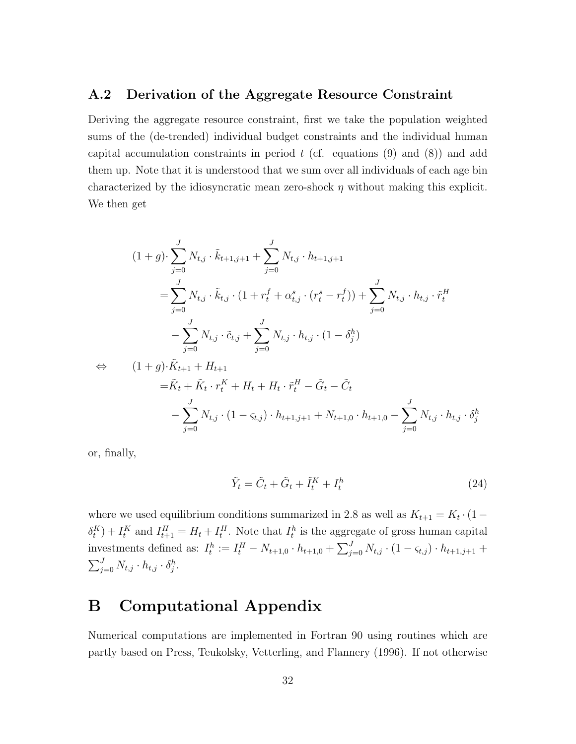#### **A.2 Derivation of the Aggregate Resource Constraint**

Deriving the aggregate resource constraint, first we take the population weighted sums of the (de-trended) individual budget constraints and the individual human capital accumulation constraints in period *t* (cf. equations (9) and (8)) and add them up. Note that it is understood that we sum over all individuals of each age bin characterized by the idiosyncratic mean zero-shock *η* without making this explicit. We then get

$$
(1+g) \cdot \sum_{j=0}^{J} N_{t,j} \cdot \tilde{k}_{t+1,j+1} + \sum_{j=0}^{J} N_{t,j} \cdot h_{t+1,j+1}
$$
  
= 
$$
\sum_{j=0}^{J} N_{t,j} \cdot \tilde{k}_{t,j} \cdot (1 + r_t^f + \alpha_{t,j}^s \cdot (r_t^s - r_t^f)) + \sum_{j=0}^{J} N_{t,j} \cdot h_{t,j} \cdot \tilde{r}_t^H
$$
  
- 
$$
\sum_{j=0}^{J} N_{t,j} \cdot \tilde{c}_{t,j} + \sum_{j=0}^{J} N_{t,j} \cdot h_{t,j} \cdot (1 - \delta_j^h)
$$

$$
\Leftrightarrow (1+g)\cdot \tilde{K}_{t+1} + H_{t+1}
$$
  
=  $\tilde{K}_t + \tilde{K}_t \cdot r_t^K + H_t + H_t \cdot \tilde{r}_t^H - \tilde{G}_t - \tilde{C}_t$   

$$
- \sum_{j=0}^J N_{t,j} \cdot (1 - \varsigma_{t,j}) \cdot h_{t+1,j+1} + N_{t+1,0} \cdot h_{t+1,0} - \sum_{j=0}^J N_{t,j} \cdot h_{t,j} \cdot \delta_j^h
$$

or, finally,

$$
\tilde{Y}_t = \tilde{C}_t + \tilde{G}_t + \tilde{I}_t^K + I_t^h \tag{24}
$$

where we used equilibrium conditions summarized in 2.8 as well as  $K_{t+1} = K_t \cdot (1 - \epsilon)$  $\delta_t^K$ ) +  $I_t^K$  and  $I_{t+1}^H = H_t + I_t^H$ . Note that  $I_t^h$  is the aggregate of gross human capital investments defined as:  $I_t^h := I_t^H - N_{t+1,0} \cdot h_{t+1,0} + \sum_{j=0}^J N_{t,j} \cdot (1 - \varsigma_{t,j}) \cdot h_{t+1,j+1} +$  $\sum_{j=0}^{J} N_{t,j} \cdot h_{t,j} \cdot \delta_j^h$ .

# **B Computational Appendix**

Numerical computations are implemented in Fortran 90 using routines which are partly based on Press, Teukolsky, Vetterling, and Flannery (1996). If not otherwise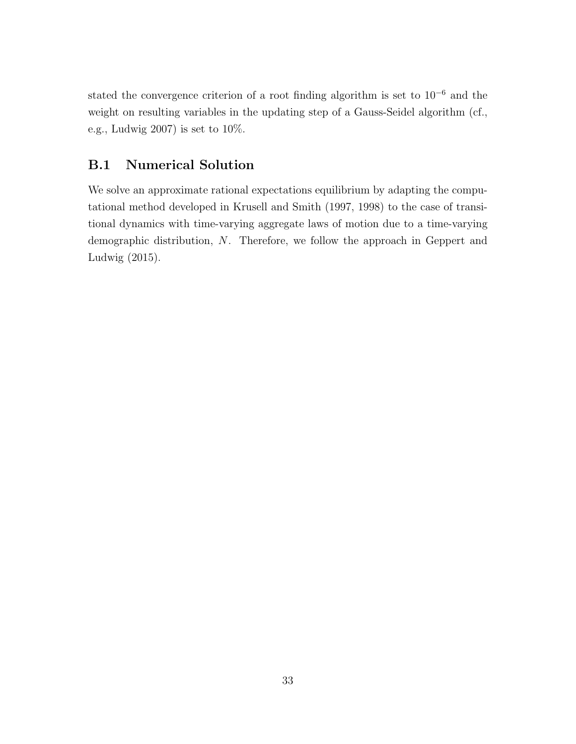stated the convergence criterion of a root finding algorithm is set to 10*<sup>−</sup>*<sup>6</sup> and the weight on resulting variables in the updating step of a Gauss-Seidel algorithm (cf., e.g., Ludwig  $2007$ ) is set to  $10\%$ .

## **B.1 Numerical Solution**

We solve an approximate rational expectations equilibrium by adapting the computational method developed in Krusell and Smith (1997, 1998) to the case of transitional dynamics with time-varying aggregate laws of motion due to a time-varying demographic distribution, *N*. Therefore, we follow the approach in Geppert and Ludwig (2015).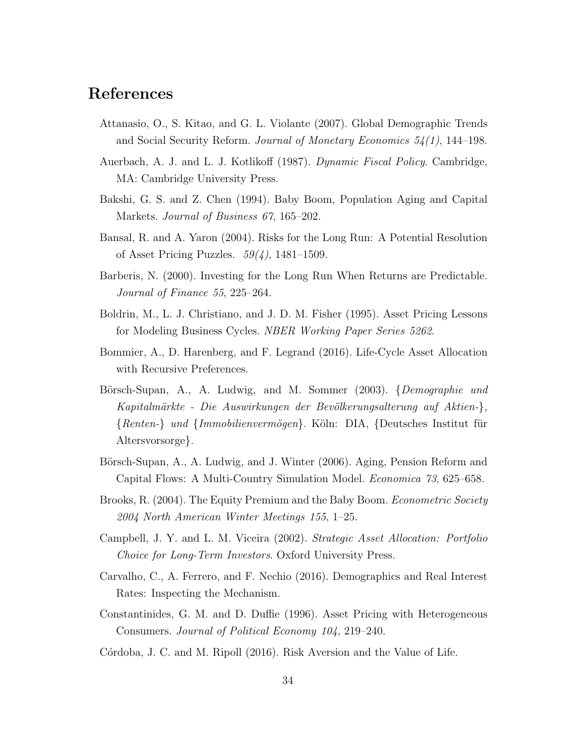# **References**

- Attanasio, O., S. Kitao, and G. L. Violante (2007). Global Demographic Trends and Social Security Reform. *Journal of Monetary Economics 54(1)*, 144–198.
- Auerbach, A. J. and L. J. Kotlikoff (1987). *Dynamic Fiscal Policy*. Cambridge, MA: Cambridge University Press.
- Bakshi, G. S. and Z. Chen (1994). Baby Boom, Population Aging and Capital Markets. *Journal of Business 67*, 165–202.
- Bansal, R. and A. Yaron (2004). Risks for the Long Run: A Potential Resolution of Asset Pricing Puzzles. *59(4)*, 1481–1509.
- Barberis, N. (2000). Investing for the Long Run When Returns are Predictable. *Journal of Finance 55*, 225–264.
- Boldrin, M., L. J. Christiano, and J. D. M. Fisher (1995). Asset Pricing Lessons for Modeling Business Cycles. *NBER Working Paper Series 5262*.
- Bommier, A., D. Harenberg, and F. Legrand (2016). Life-Cycle Asset Allocation with Recursive Preferences.
- B¨orsch-Supan, A., A. Ludwig, and M. Sommer (2003). *{Demographie und Kapitalm¨arkte - Die Auswirkungen der Bev¨olkerungsalterung auf Aktien-}, {Renten-} und {Immobilienverm¨ogen}*. K¨oln: DIA, *{*Deutsches Institut f¨ur Altersvorsorge*}*.
- Börsch-Supan, A., A. Ludwig, and J. Winter (2006). Aging, Pension Reform and Capital Flows: A Multi-Country Simulation Model. *Economica 73*, 625–658.
- Brooks, R. (2004). The Equity Premium and the Baby Boom. *Econometric Society 2004 North American Winter Meetings 155*, 1–25.
- Campbell, J. Y. and L. M. Viceira (2002). *Strategic Asset Allocation: Portfolio Choice for Long-Term Investors*. Oxford University Press.
- Carvalho, C., A. Ferrero, and F. Nechio (2016). Demographics and Real Interest Rates: Inspecting the Mechanism.
- Constantinides, G. M. and D. Duffie (1996). Asset Pricing with Heterogeneous Consumers. *Journal of Political Economy 104*, 219–240.
- Córdoba, J. C. and M. Ripoll (2016). Risk Aversion and the Value of Life.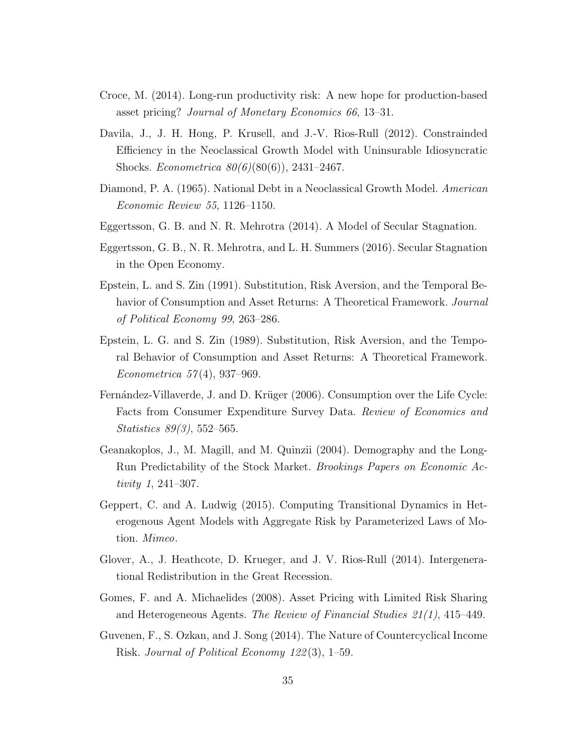- Croce, M. (2014). Long-run productivity risk: A new hope for production-based asset pricing? *Journal of Monetary Economics 66*, 13–31.
- Davila, J., J. H. Hong, P. Krusell, and J.-V. Rios-Rull (2012). Constrainded Efficiency in the Neoclassical Growth Model with Uninsurable Idiosyncratic Shocks. *Econometrica 80(6)*(80(6)), 2431–2467.
- Diamond, P. A. (1965). National Debt in a Neoclassical Growth Model. *American Economic Review 55*, 1126–1150.
- Eggertsson, G. B. and N. R. Mehrotra (2014). A Model of Secular Stagnation.
- Eggertsson, G. B., N. R. Mehrotra, and L. H. Summers (2016). Secular Stagnation in the Open Economy.
- Epstein, L. and S. Zin (1991). Substitution, Risk Aversion, and the Temporal Behavior of Consumption and Asset Returns: A Theoretical Framework. *Journal of Political Economy 99*, 263–286.
- Epstein, L. G. and S. Zin (1989). Substitution, Risk Aversion, and the Temporal Behavior of Consumption and Asset Returns: A Theoretical Framework. *Econometrica 57* (4), 937–969.
- Fernández-Villaverde, J. and D. Krüger (2006). Consumption over the Life Cycle: Facts from Consumer Expenditure Survey Data. *Review of Economics and Statistics 89(3)*, 552–565.
- Geanakoplos, J., M. Magill, and M. Quinzii (2004). Demography and the Long-Run Predictability of the Stock Market. *Brookings Papers on Economic Activity 1*, 241–307.
- Geppert, C. and A. Ludwig (2015). Computing Transitional Dynamics in Heterogenous Agent Models with Aggregate Risk by Parameterized Laws of Motion. *Mimeo*.
- Glover, A., J. Heathcote, D. Krueger, and J. V. Rios-Rull (2014). Intergenerational Redistribution in the Great Recession.
- Gomes, F. and A. Michaelides (2008). Asset Pricing with Limited Risk Sharing and Heterogeneous Agents. *The Review of Financial Studies 21(1)*, 415–449.
- Guvenen, F., S. Ozkan, and J. Song (2014). The Nature of Countercyclical Income Risk. *Journal of Political Economy 122* (3), 1–59.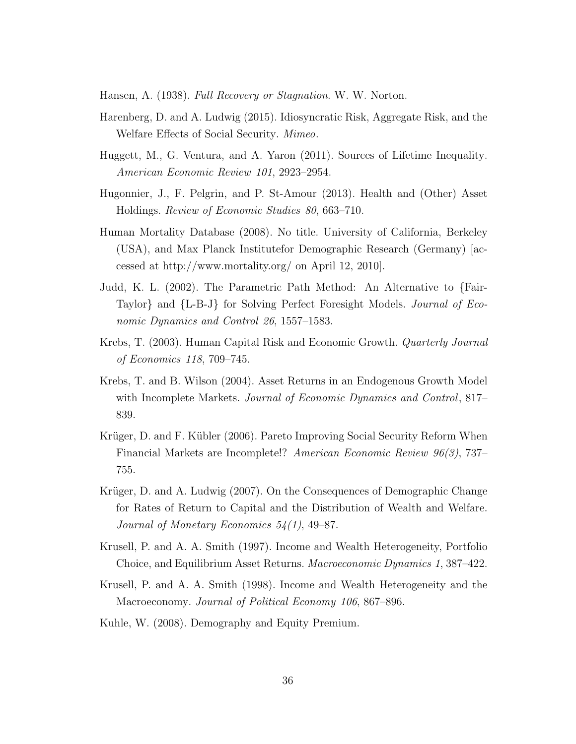Hansen, A. (1938). *Full Recovery or Stagnation*. W. W. Norton.

- Harenberg, D. and A. Ludwig (2015). Idiosyncratic Risk, Aggregate Risk, and the Welfare Effects of Social Security. *Mimeo*.
- Huggett, M., G. Ventura, and A. Yaron (2011). Sources of Lifetime Inequality. *American Economic Review 101*, 2923–2954.
- Hugonnier, J., F. Pelgrin, and P. St-Amour (2013). Health and (Other) Asset Holdings. *Review of Economic Studies 80*, 663–710.
- Human Mortality Database (2008). No title. University of California, Berkeley (USA), and Max Planck Institutefor Demographic Research (Germany) [accessed at http://www.mortality.org/ on April 12, 2010].
- Judd, K. L. (2002). The Parametric Path Method: An Alternative to *{*Fair-Taylor*}* and *{*L-B-J*}* for Solving Perfect Foresight Models. *Journal of Economic Dynamics and Control 26*, 1557–1583.
- Krebs, T. (2003). Human Capital Risk and Economic Growth. *Quarterly Journal of Economics 118*, 709–745.
- Krebs, T. and B. Wilson (2004). Asset Returns in an Endogenous Growth Model with Incomplete Markets. *Journal of Economic Dynamics and Control*, 817– 839.
- Krüger, D. and F. Kübler (2006). Pareto Improving Social Security Reform When Financial Markets are Incomplete!? *American Economic Review 96(3)*, 737– 755.
- Krüger, D. and A. Ludwig (2007). On the Consequences of Demographic Change for Rates of Return to Capital and the Distribution of Wealth and Welfare. *Journal of Monetary Economics 54(1)*, 49–87.
- Krusell, P. and A. A. Smith (1997). Income and Wealth Heterogeneity, Portfolio Choice, and Equilibrium Asset Returns. *Macroeconomic Dynamics 1*, 387–422.
- Krusell, P. and A. A. Smith (1998). Income and Wealth Heterogeneity and the Macroeconomy. *Journal of Political Economy 106*, 867–896.
- Kuhle, W. (2008). Demography and Equity Premium.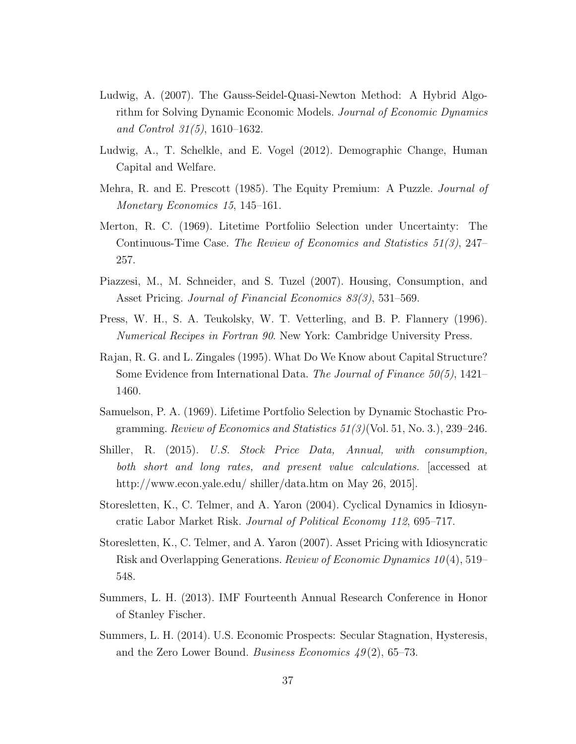- Ludwig, A. (2007). The Gauss-Seidel-Quasi-Newton Method: A Hybrid Algorithm for Solving Dynamic Economic Models. *Journal of Economic Dynamics and Control 31(5)*, 1610–1632.
- Ludwig, A., T. Schelkle, and E. Vogel (2012). Demographic Change, Human Capital and Welfare.
- Mehra, R. and E. Prescott (1985). The Equity Premium: A Puzzle. *Journal of Monetary Economics 15*, 145–161.
- Merton, R. C. (1969). Litetime Portfoliio Selection under Uncertainty: The Continuous-Time Case. *The Review of Economics and Statistics 51(3)*, 247– 257.
- Piazzesi, M., M. Schneider, and S. Tuzel (2007). Housing, Consumption, and Asset Pricing. *Journal of Financial Economics 83(3)*, 531–569.
- Press, W. H., S. A. Teukolsky, W. T. Vetterling, and B. P. Flannery (1996). *Numerical Recipes in Fortran 90*. New York: Cambridge University Press.
- Rajan, R. G. and L. Zingales (1995). What Do We Know about Capital Structure? Some Evidence from International Data. *The Journal of Finance 50(5)*, 1421– 1460.
- Samuelson, P. A. (1969). Lifetime Portfolio Selection by Dynamic Stochastic Programming. *Review of Economics and Statistics 51(3)*(Vol. 51, No. 3.), 239–246.
- Shiller, R. (2015). *U.S. Stock Price Data, Annual, with consumption, both short and long rates, and present value calculations.* [accessed at http://www.econ.yale.edu/ shiller/data.htm on May 26, 2015].
- Storesletten, K., C. Telmer, and A. Yaron (2004). Cyclical Dynamics in Idiosyncratic Labor Market Risk. *Journal of Political Economy 112*, 695–717.
- Storesletten, K., C. Telmer, and A. Yaron (2007). Asset Pricing with Idiosyncratic Risk and Overlapping Generations. *Review of Economic Dynamics 10* (4), 519– 548.
- Summers, L. H. (2013). IMF Fourteenth Annual Research Conference in Honor of Stanley Fischer.
- Summers, L. H. (2014). U.S. Economic Prospects: Secular Stagnation, Hysteresis, and the Zero Lower Bound. *Business Economics 49* (2), 65–73.